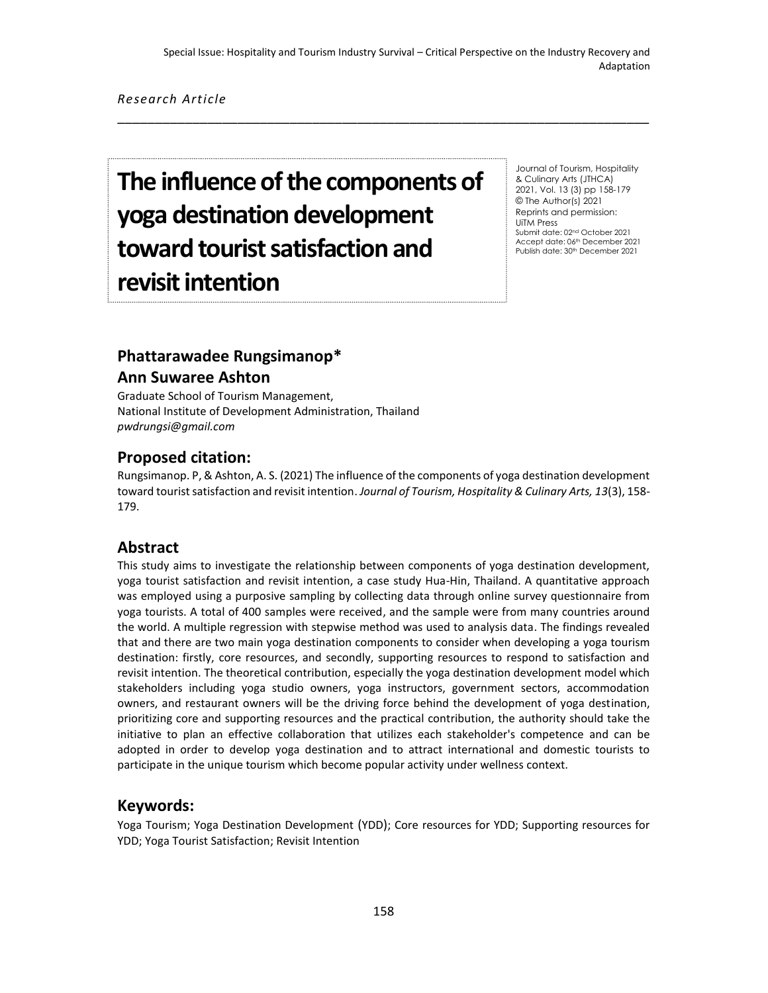\_\_\_\_\_\_\_\_\_\_\_\_\_\_\_\_\_\_\_\_\_\_\_\_\_\_\_\_\_\_\_\_\_\_\_\_\_\_\_\_\_\_\_\_\_\_\_\_\_\_\_\_\_\_\_\_\_\_\_\_\_\_\_\_\_\_\_\_\_\_\_

*Research Article*

# **The influence of the components of yoga destination development toward tourist satisfaction and revisit intention**

Journal of Tourism, Hospitality & Culinary Arts (JTHCA) 2021, Vol. 13 (3) pp 158-179 © The Author(s) 2021 Reprints and permission: UiTM Press Submit date: 02nd October 2021 Accept date: 06th December 2021 Publish date: 30<sup>th</sup> December 2021

# **Phattarawadee Rungsimanop\***

## **Ann Suwaree Ashton**

Graduate School of Tourism Management, National Institute of Development Administration, Thailand *[pwdrungsi@gmail.com](mailto:pwdrungsi@gmail.com)*

#### **Proposed citation:**

Rungsimanop. P, & Ashton, A. S. (2021) The influence of the components of yoga destination development toward tourist satisfaction and revisit intention. *Journal of Tourism, Hospitality & Culinary Arts, 13*(3), 158- 179.

## **Abstract**

This study aims to investigate the relationship between components of yoga destination development, yoga tourist satisfaction and revisit intention, a case study Hua-Hin, Thailand. A quantitative approach was employed using a purposive sampling by collecting data through online survey questionnaire from yoga tourists. A total of 400 samples were received, and the sample were from many countries around the world. A multiple regression with stepwise method was used to analysis data. The findings revealed that and there are two main yoga destination components to consider when developing a yoga tourism destination: firstly, core resources, and secondly, supporting resources to respond to satisfaction and revisit intention. The theoretical contribution, especially the yoga destination development model which stakeholders including yoga studio owners, yoga instructors, government sectors, accommodation owners, and restaurant owners will be the driving force behind the development of yoga destination, prioritizing core and supporting resources and the practical contribution, the authority should take the initiative to plan an effective collaboration that utilizes each stakeholder's competence and can be adopted in order to develop yoga destination and to attract international and domestic tourists to participate in the unique tourism which become popular activity under wellness context.

## **Keywords:**

Yoga Tourism; Yoga Destination Development (YDD); Core resources for YDD; Supporting resources for YDD; Yoga Tourist Satisfaction; Revisit Intention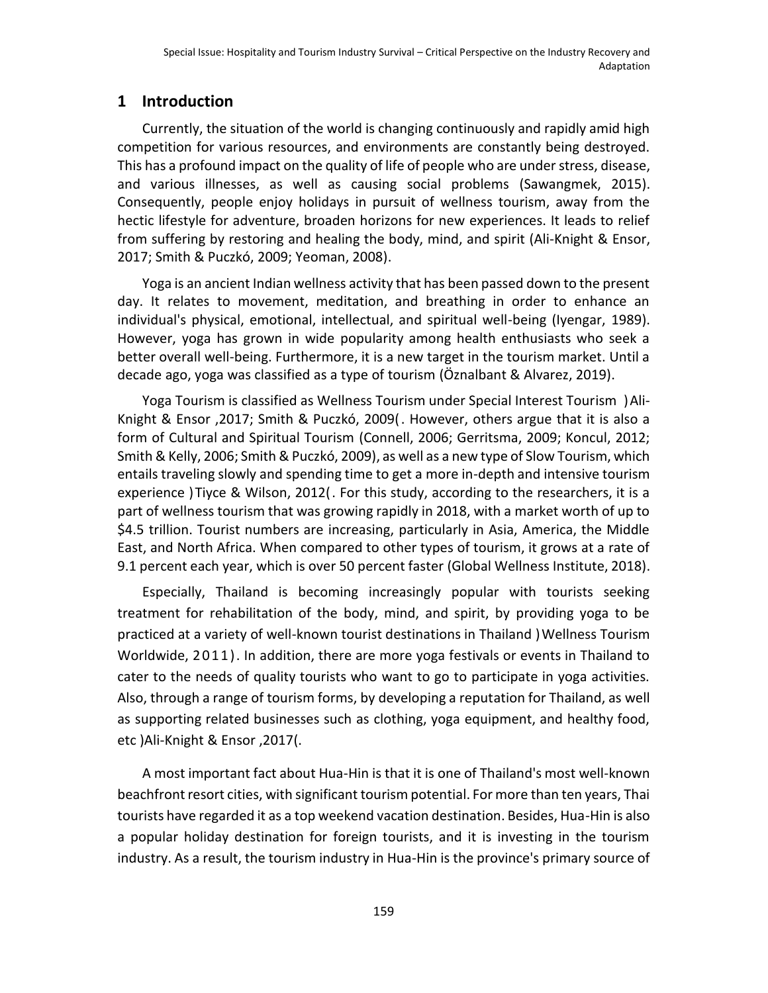## **1 Introduction**

Currently, the situation of the world is changing continuously and rapidly amid high competition for various resources, and environments are constantly being destroyed. This has a profound impact on the quality of life of people who are under stress, disease, and various illnesses, as well as causing social problems (Sawangmek, 2015). Consequently, people enjoy holidays in pursuit of wellness tourism, away from the hectic lifestyle for adventure, broaden horizons for new experiences. It leads to relief from suffering by restoring and healing the body, mind, and spirit (Ali-Knight & Ensor, 2017; Smith & Puczkó, 2009; Yeoman, 2008).

Yoga is an ancient Indian wellness activity that has been passed down to the present day. It relates to movement, meditation, and breathing in order to enhance an individual's physical, emotional, intellectual, and spiritual well-being (Iyengar, 1989). However, yoga has grown in wide popularity among health enthusiasts who seek a better overall well-being. Furthermore, it is a new target in the tourism market. Until a decade ago, yoga was classified as a type of tourism (Öznalbant & Alvarez, 2019).

Yoga Tourism is classified as Wellness Tourism under Special Interest Tourism )Ali-Knight & Ensor ,2017; Smith & Puczkó, 2009(. However, others argue that it is also a form of Cultural and Spiritual Tourism (Connell, 2006; Gerritsma, 2009; Koncul, 2012; Smith & Kelly, 2006; Smith & Puczkó, 2009), as well as a new type of Slow Tourism, which entails traveling slowly and spending time to get a more in-depth and intensive tourism experience )Tiyce & Wilson, 2012(. For this study, according to the researchers, it is a part of wellness tourism that was growing rapidly in 2018, with a market worth of up to \$4.5 trillion. Tourist numbers are increasing, particularly in Asia, America, the Middle East, and North Africa. When compared to other types of tourism, it grows at a rate of 9.1 percent each year, which is over 50 percent faster (Global Wellness Institute, 2018).

Especially, Thailand is becoming increasingly popular with tourists seeking treatment for rehabilitation of the body, mind, and spirit, by providing yoga to be practiced at a variety of well-known tourist destinations in Thailand )Wellness Tourism Worldwide, 2011). In addition, there are more yoga festivals or events in Thailand to cater to the needs of quality tourists who want to go to participate in yoga activities. Also, through a range of tourism forms, by developing a reputation for Thailand, as well as supporting related businesses such as clothing, yoga equipment, and healthy food, etc )Ali-Knight & Ensor ,2017(.

A most important fact about Hua-Hin is that it is one of Thailand's most well-known beachfront resort cities, with significant tourism potential. For more than ten years, Thai tourists have regarded it as a top weekend vacation destination. Besides, Hua-Hin is also a popular holiday destination for foreign tourists, and it is investing in the tourism industry. As a result, the tourism industry in Hua-Hin is the province's primary source of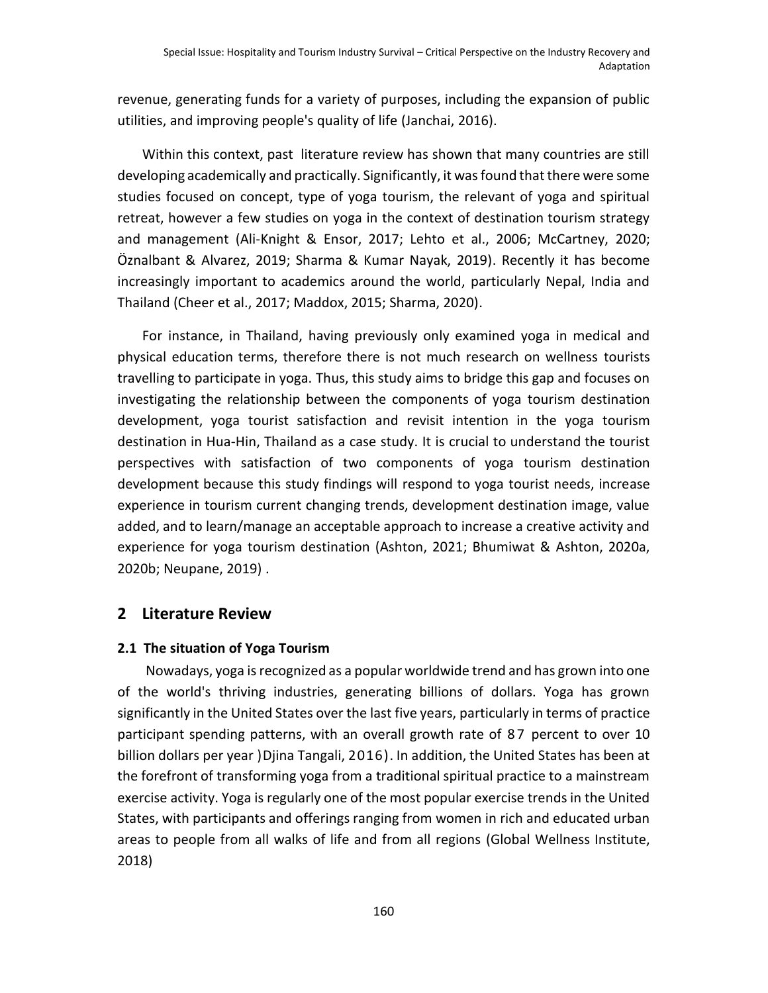revenue, generating funds for a variety of purposes, including the expansion of public utilities, and improving people's quality of life (Janchai, 2016).

Within this context, past literature review has shown that many countries are still developing academically and practically. Significantly, it was found that there were some studies focused on concept, type of yoga tourism, the relevant of yoga and spiritual retreat, however a few studies on yoga in the context of destination tourism strategy and management (Ali-Knight & Ensor, 2017; Lehto et al., 2006; McCartney, 2020; Öznalbant & Alvarez, 2019; Sharma & Kumar Nayak, 2019). Recently it has become increasingly important to academics around the world, particularly Nepal, India and Thailand (Cheer et al., 2017; Maddox, 2015; Sharma, 2020).

For instance, in Thailand, having previously only examined yoga in medical and physical education terms, therefore there is not much research on wellness tourists travelling to participate in yoga. Thus, this study aims to bridge this gap and focuses on investigating the relationship between the components of yoga tourism destination development, yoga tourist satisfaction and revisit intention in the yoga tourism destination in Hua-Hin, Thailand as a case study. It is crucial to understand the tourist perspectives with satisfaction of two components of yoga tourism destination development because this study findings will respond to yoga tourist needs, increase experience in tourism current changing trends, development destination image, value added, and to learn/manage an acceptable approach to increase a creative activity and experience for yoga tourism destination (Ashton, 2021; Bhumiwat & Ashton, 2020a, 2020b; Neupane, 2019) .

## **2 Literature Review**

## **2.1 The situation of Yoga Tourism**

Nowadays, yoga is recognized as a popular worldwide trend and has grown into one of the world's thriving industries, generating billions of dollars. Yoga has grown significantly in the United States over the last five years, particularly in terms of practice participant spending patterns, with an overall growth rate of 87 percent to over 10 billion dollars per year )Djina Tangali, 2016). In addition, the United States has been at the forefront of transforming yoga from a traditional spiritual practice to a mainstream exercise activity. Yoga is regularly one of the most popular exercise trends in the United States, with participants and offerings ranging from women in rich and educated urban areas to people from all walks of life and from all regions (Global Wellness Institute, 2018)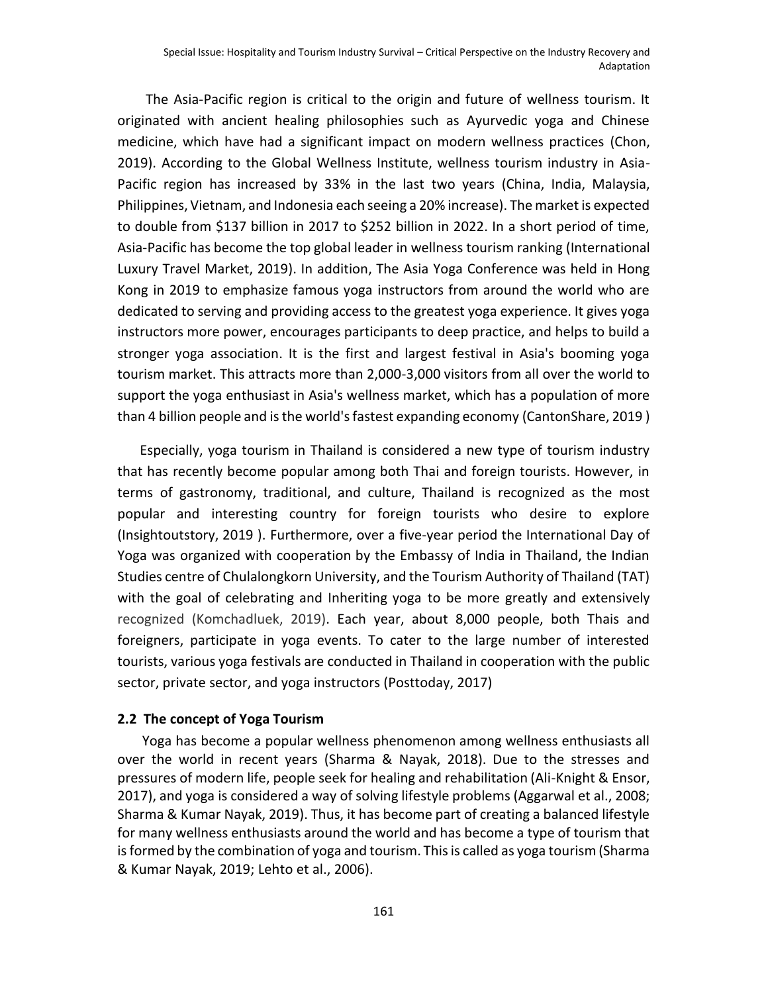The Asia-Pacific region is critical to the origin and future of wellness tourism. It originated with ancient healing philosophies such as Ayurvedic yoga and Chinese medicine, which have had a significant impact on modern wellness practices (Chon, 2019). According to the Global Wellness Institute, wellness tourism industry in Asia-Pacific region has increased by 33% in the last two years (China, India, Malaysia, Philippines, Vietnam, and Indonesia each seeing a 20% increase). The market is expected to double from \$137 billion in 2017 to \$252 billion in 2022. In a short period of time, Asia-Pacific has become the top global leader in wellness tourism ranking (International Luxury Travel Market, 2019). In addition, The Asia Yoga Conference was held in Hong Kong in 2019 to emphasize famous yoga instructors from around the world who are dedicated to serving and providing access to the greatest yoga experience. It gives yoga instructors more power, encourages participants to deep practice, and helps to build a stronger yoga association. It is the first and largest festival in Asia's booming yoga tourism market. This attracts more than 2,000-3,000 visitors from all over the world to support the yoga enthusiast in Asia's wellness market, which has a population of more than 4 billion people and is the world's fastest expanding economy (CantonShare, 2019 )

Especially, yoga tourism in Thailand is considered a new type of tourism industry that has recently become popular among both Thai and foreign tourists. However, in terms of gastronomy, traditional, and culture, Thailand is recognized as the most popular and interesting country for foreign tourists who desire to explore (Insightoutstory, 2019 ). Furthermore, over a five-year period the International Day of Yoga was organized with cooperation by the Embassy of India in Thailand, the Indian Studies centre of Chulalongkorn University, and the Tourism Authority of Thailand (TAT) with the goal of celebrating and Inheriting yoga to be more greatly and extensively recognized (Komchadluek, 2019). Each year, about 8,000 people, both Thais and foreigners, participate in yoga events. To cater to the large number of interested tourists, various yoga festivals are conducted in Thailand in cooperation with the public sector, private sector, and yoga instructors (Posttoday, 2017)

#### **2.2 The concept of Yoga Tourism**

Yoga has become a popular wellness phenomenon among wellness enthusiasts all over the world in recent years (Sharma & Nayak, 2018). Due to the stresses and pressures of modern life, people seek for healing and rehabilitation (Ali-Knight & Ensor, 2017), and yoga is considered a way of solving lifestyle problems (Aggarwal et al., 2008; Sharma & Kumar Nayak, 2019). Thus, it has become part of creating a balanced lifestyle for many wellness enthusiasts around the world and has become a type of tourism that is formed by the combination of yoga and tourism. This is called as yoga tourism (Sharma & Kumar Nayak, 2019; Lehto et al., 2006).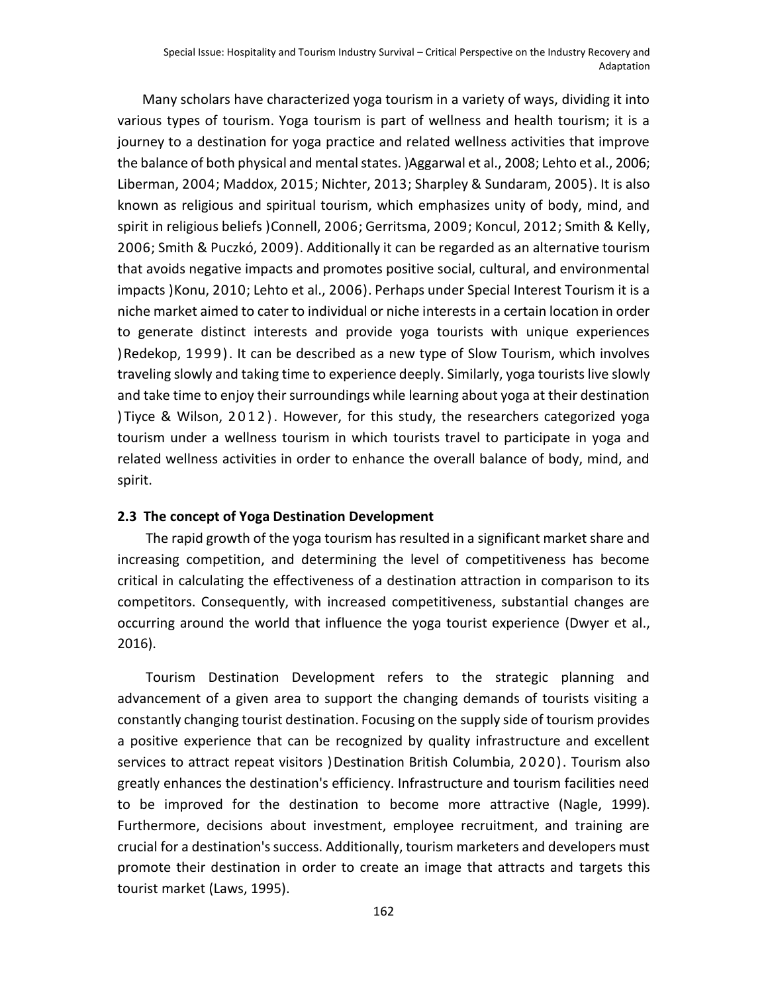Many scholars have characterized yoga tourism in a variety of ways, dividing it into various types of tourism. Yoga tourism is part of wellness and health tourism; it is a journey to a destination for yoga practice and related wellness activities that improve the balance of both physical and mental states. )Aggarwal et al., 2008; Lehto et al., 2006; Liberman, 2004; Maddox, 2015; Nichter, 2013; Sharpley & Sundaram, 2005). It is also known as religious and spiritual tourism, which emphasizes unity of body, mind, and spirit in religious beliefs )Connell, 2006; Gerritsma, 2009; Koncul, 2012; Smith & Kelly, 2006; Smith & Puczkó, 2009). Additionally it can be regarded as an alternative tourism that avoids negative impacts and promotes positive social, cultural, and environmental impacts )Konu, 2010; Lehto et al., 2006). Perhaps under Special Interest Tourism it is a niche market aimed to cater to individual or niche interests in a certain location in order to generate distinct interests and provide yoga tourists with unique experiences )Redekop, 1999). It can be described as a new type of Slow Tourism, which involves traveling slowly and taking time to experience deeply. Similarly, yoga tourists live slowly and take time to enjoy their surroundings while learning about yoga at their destination ) Tiyce & Wilson, 2012). However, for this study, the researchers categorized yoga tourism under a wellness tourism in which tourists travel to participate in yoga and related wellness activities in order to enhance the overall balance of body, mind, and spirit.

#### **2.3 The concept of Yoga Destination Development**

The rapid growth of the yoga tourism has resulted in a significant market share and increasing competition, and determining the level of competitiveness has become critical in calculating the effectiveness of a destination attraction in comparison to its competitors. Consequently, with increased competitiveness, substantial changes are occurring around the world that influence the yoga tourist experience (Dwyer et al., 2016).

Tourism Destination Development refers to the strategic planning and advancement of a given area to support the changing demands of tourists visiting a constantly changing tourist destination. Focusing on the supply side of tourism provides a positive experience that can be recognized by quality infrastructure and excellent services to attract repeat visitors )Destination British Columbia, 2020). Tourism also greatly enhances the destination's efficiency. Infrastructure and tourism facilities need to be improved for the destination to become more attractive (Nagle, 1999). Furthermore, decisions about investment, employee recruitment, and training are crucial for a destination's success. Additionally, tourism marketers and developers must promote their destination in order to create an image that attracts and targets this tourist market (Laws, 1995).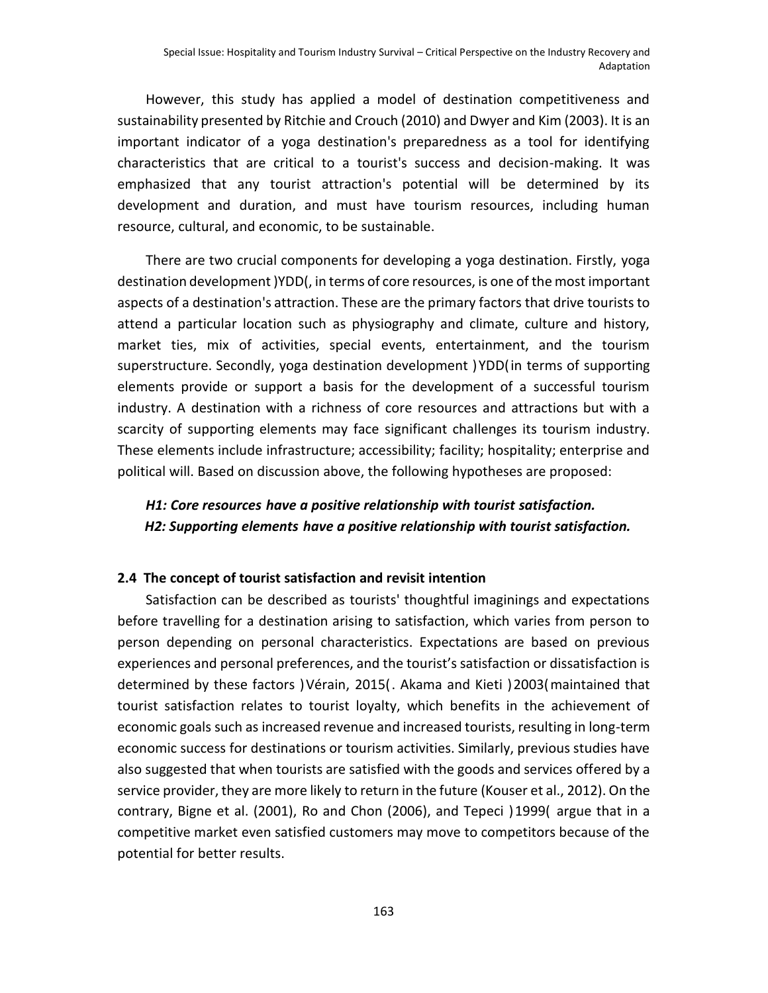However, this study has applied a model of destination competitiveness and sustainability presented by Ritchie and Crouch (2010) and Dwyer and Kim (2003). It is an important indicator of a yoga destination's preparedness as a tool for identifying characteristics that are critical to a tourist's success and decision-making. It was emphasized that any tourist attraction's potential will be determined by its development and duration, and must have tourism resources, including human resource, cultural, and economic, to be sustainable.

There are two crucial components for developing a yoga destination. Firstly, yoga destination development )YDD(, in terms of core resources, is one of the most important aspects of a destination's attraction. These are the primary factors that drive tourists to attend a particular location such as physiography and climate, culture and history, market ties, mix of activities, special events, entertainment, and the tourism superstructure. Secondly, yoga destination development )YDD(in terms of supporting elements provide or support a basis for the development of a successful tourism industry. A destination with a richness of core resources and attractions but with a scarcity of supporting elements may face significant challenges its tourism industry. These elements include infrastructure; accessibility; facility; hospitality; enterprise and political will. Based on discussion above, the following hypotheses are proposed:

## *H1: Core resources have a positive relationship with tourist satisfaction. H2: Supporting elements have a positive relationship with tourist satisfaction.*

#### **2.4 The concept of tourist satisfaction and revisit intention**

Satisfaction can be described as tourists' thoughtful imaginings and expectations before travelling for a destination arising to satisfaction, which varies from person to person depending on personal characteristics. Expectations are based on previous experiences and personal preferences, and the tourist's satisfaction or dissatisfaction is determined by these factors )Vérain, 2015(. Akama and Kieti )2003(maintained that tourist satisfaction relates to tourist loyalty, which benefits in the achievement of economic goals such as increased revenue and increased tourists, resulting in long-term economic success for destinations or tourism activities. Similarly, previous studies have also suggested that when tourists are satisfied with the goods and services offered by a service provider, they are more likely to return in the future (Kouser et al., 2012). On the contrary, Bigne et al. (2001), Ro and Chon (2006), and Tepeci )1999( argue that in a competitive market even satisfied customers may move to competitors because of the potential for better results.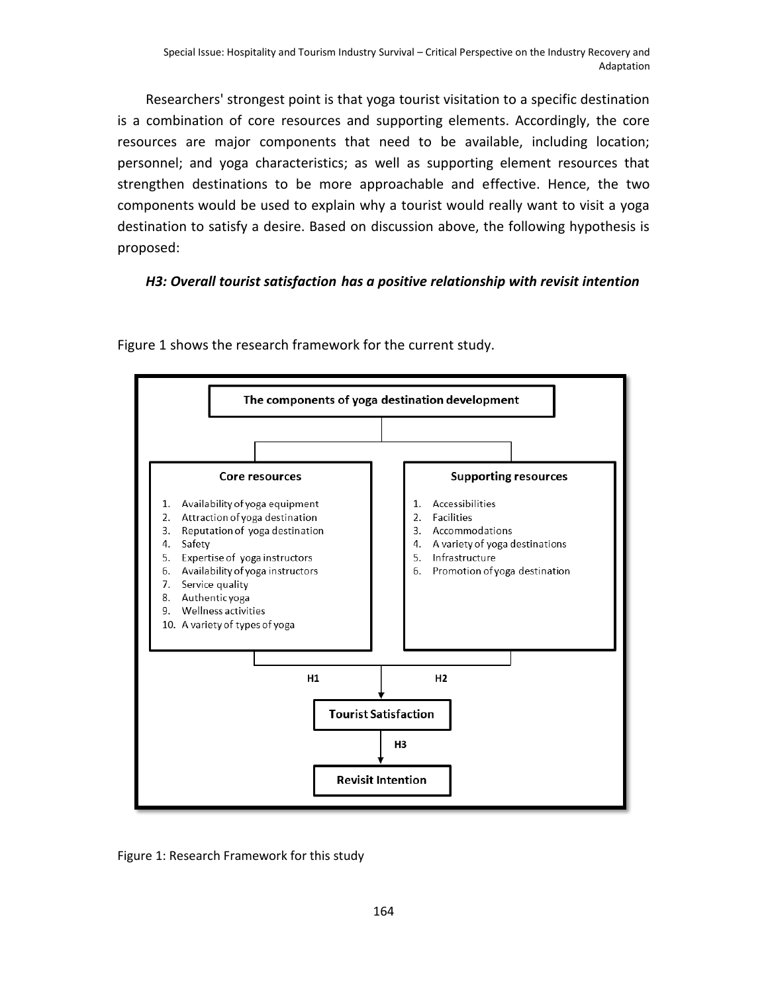Researchers' strongest point is that yoga tourist visitation to a specific destination is a combination of core resources and supporting elements. Accordingly, the core resources are major components that need to be available, including location; personnel; and yoga characteristics; as well as supporting element resources that strengthen destinations to be more approachable and effective. Hence, the two components would be used to explain why a tourist would really want to visit a yoga destination to satisfy a desire. Based on discussion above, the following hypothesis is proposed:

#### *H3: Overall tourist satisfaction has a positive relationship with revisit intention*



Figure 1 shows the research framework for the current study.

Figure 1: Research Framework for this study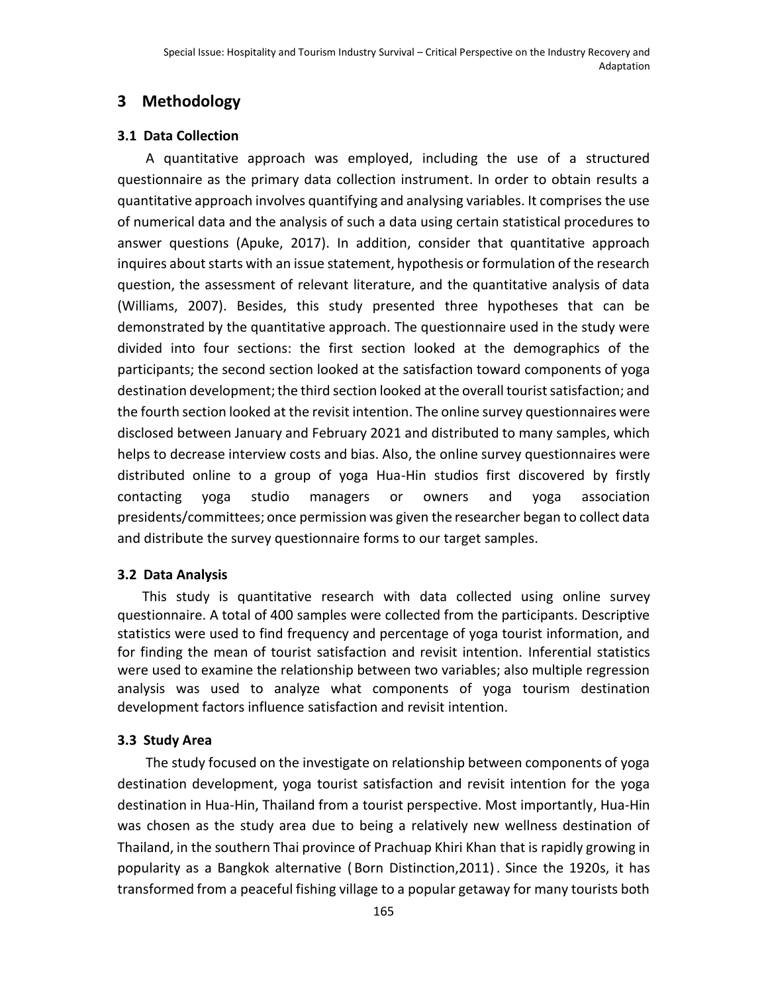# **3 Methodology**

#### **3.1 Data Collection**

A quantitative approach was employed, including the use of a structured questionnaire as the primary data collection instrument. In order to obtain results a quantitative approach involves quantifying and analysing variables. It comprises the use of numerical data and the analysis of such a data using certain statistical procedures to answer questions (Apuke, 2017). In addition, consider that quantitative approach inquires about starts with an issue statement, hypothesis or formulation of the research question, the assessment of relevant literature, and the quantitative analysis of data (Williams, 2007). Besides, this study presented three hypotheses that can be demonstrated by the quantitative approach. The questionnaire used in the study were divided into four sections: the first section looked at the demographics of the participants; the second section looked at the satisfaction toward components of yoga destination development; the third section looked at the overall tourist satisfaction; and the fourth section looked at the revisit intention. The online survey questionnaires were disclosed between January and February 2021 and distributed to many samples, which helps to decrease interview costs and bias. Also, the online survey questionnaires were distributed online to a group of yoga Hua-Hin studios first discovered by firstly contacting yoga studio managers or owners and yoga association presidents/committees; once permission was given the researcher began to collect data and distribute the survey questionnaire forms to our target samples.

#### **3.2 Data Analysis**

This study is quantitative research with data collected using online survey questionnaire. A total of 400 samples were collected from the participants. Descriptive statistics were used to find frequency and percentage of yoga tourist information, and for finding the mean of tourist satisfaction and revisit intention. Inferential statistics were used to examine the relationship between two variables; also multiple regression analysis was used to analyze what components of yoga tourism destination development factors influence satisfaction and revisit intention.

## **3.3 Study Area**

The study focused on the investigate on relationship between components of yoga destination development, yoga tourist satisfaction and revisit intention for the yoga destination in Hua-Hin, Thailand from a tourist perspective. Most importantly, Hua-Hin was chosen as the study area due to being a relatively new wellness destination of Thailand, in the southern Thai province of Prachuap Khiri Khan that is rapidly growing in popularity as a Bangkok alternative ( Born Distinction,2011). Since the 1920s, it has transformed from a peaceful fishing village to a popular getaway for many tourists both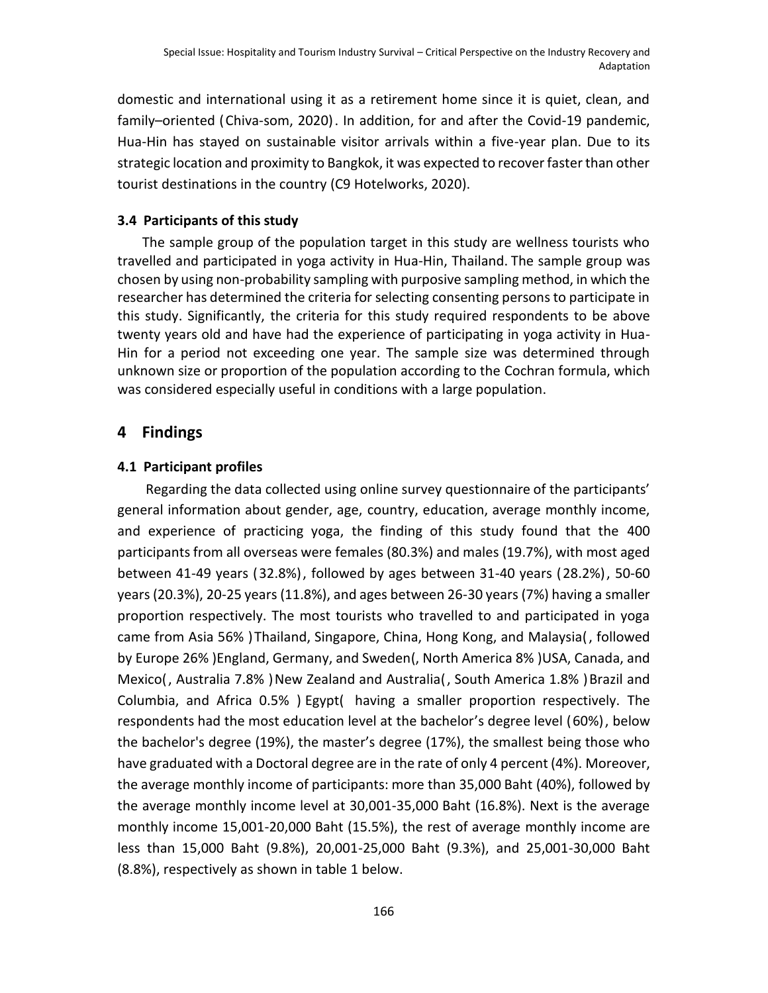domestic and international using it as a retirement home since it is quiet, clean, and family–oriented (Chiva-som, 2020). In addition, for and after the Covid-19 pandemic, Hua-Hin has stayed on sustainable visitor arrivals within a five-year plan. Due to its strategic location and proximity to Bangkok, it was expected to recover faster than other tourist destinations in the country (C9 Hotelworks, 2020).

#### **3.4 Participants of this study**

The sample group of the population target in this study are wellness tourists who travelled and participated in yoga activity in Hua-Hin, Thailand. The sample group was chosen by using non-probability sampling with purposive sampling method, in which the researcher has determined the criteria for selecting consenting persons to participate in this study. Significantly, the criteria for this study required respondents to be above twenty years old and have had the experience of participating in yoga activity in Hua-Hin for a period not exceeding one year. The sample size was determined through unknown size or proportion of the population according to the Cochran formula, which was considered especially useful in conditions with a large population.

#### **4 Findings**

#### **4.1 Participant profiles**

Regarding the data collected using online survey questionnaire of the participants' general information about gender, age, country, education, average monthly income, and experience of practicing yoga, the finding of this study found that the 400 participantsfrom all overseas were females (80.3%) and males (19.7%), with most aged between 41-49 years (32.8%), followed by ages between 31-40 years (28.2%), 50-60 years (20.3%), 20-25 years (11.8%), and ages between 26-30 years (7%) having a smaller proportion respectively. The most tourists who travelled to and participated in yoga came from Asia 56% )Thailand, Singapore, China, Hong Kong, and Malaysia(, followed by Europe 26% )England, Germany, and Sweden(, North America 8% )USA, Canada, and Mexico(, Australia 7.8% )New Zealand and Australia(, South America 1.8% )Brazil and Columbia, and Africa 0.5% ) Egypt( having a smaller proportion respectively. The respondents had the most education level at the bachelor's degree level (60%), below the bachelor's degree (19%), the master's degree (17%), the smallest being those who have graduated with a Doctoral degree are in the rate of only 4 percent (4%). Moreover, the average monthly income of participants: more than 35,000 Baht (40%), followed by the average monthly income level at 30,001-35,000 Baht (16.8%). Next is the average monthly income 15,001-20,000 Baht (15.5%), the rest of average monthly income are less than 15,000 Baht (9.8%), 20,001-25,000 Baht (9.3%), and 25,001-30,000 Baht (8.8%), respectively as shown in table 1 below.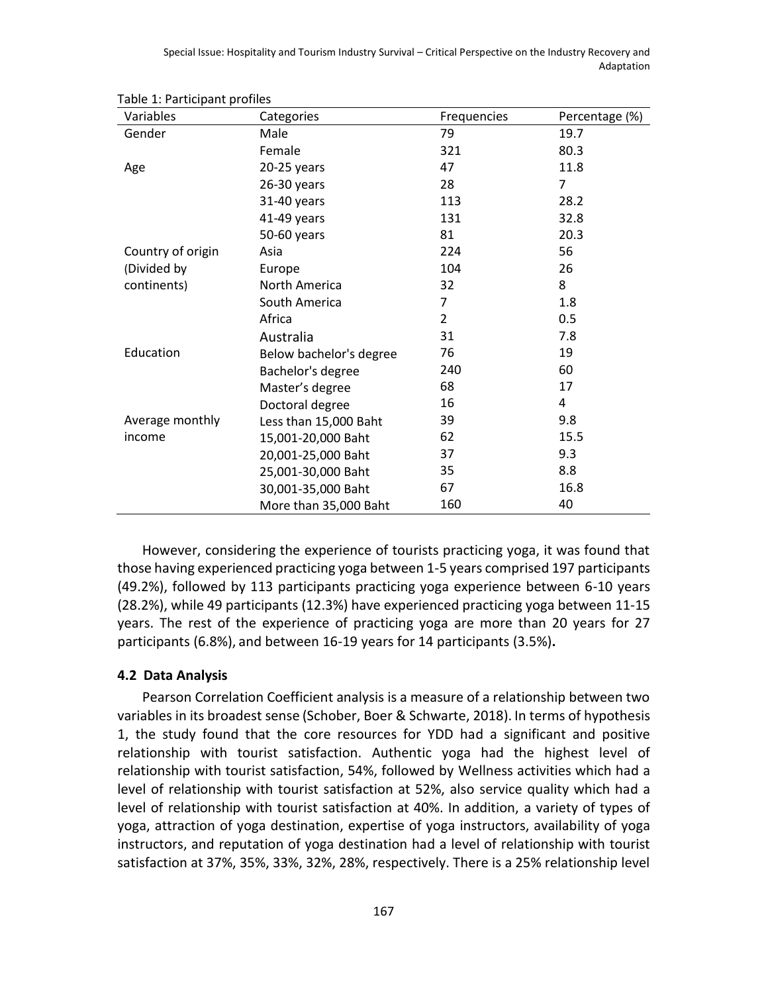| Special Issue: Hospitality and Tourism Industry Survival – Critical Perspective on the Industry Recovery and |
|--------------------------------------------------------------------------------------------------------------|
| Adaptation                                                                                                   |

| Variables         | Categories              | Frequencies    | Percentage (%) |
|-------------------|-------------------------|----------------|----------------|
| Gender            | Male                    | 79             | 19.7           |
|                   | Female                  | 321            | 80.3           |
| Age               | 20-25 years             | 47             | 11.8           |
|                   | $26-30$ years           | 28             | $\overline{7}$ |
|                   | 31-40 years             | 113            | 28.2           |
|                   | 41-49 years             | 131            | 32.8           |
|                   | 50-60 years             | 81             | 20.3           |
| Country of origin | Asia                    | 224            | 56             |
| (Divided by       | Europe                  | 104            | 26             |
| continents)       | North America           | 32             | 8              |
|                   | South America           | 7              | 1.8            |
|                   | Africa                  | $\overline{2}$ | 0.5            |
|                   | Australia               | 31             | 7.8            |
| Education         | Below bachelor's degree | 76             | 19             |
|                   | Bachelor's degree       | 240            | 60             |
|                   | Master's degree         | 68             | 17             |
|                   | Doctoral degree         | 16             | 4              |
| Average monthly   | Less than 15,000 Baht   | 39             | 9.8            |
| income            | 15,001-20,000 Baht      | 62             | 15.5           |
|                   | 20,001-25,000 Baht      | 37             | 9.3            |
|                   | 25,001-30,000 Baht      | 35             | 8.8            |
|                   | 30,001-35,000 Baht      | 67             | 16.8           |
|                   | More than 35,000 Baht   | 160            | 40             |

Table 1: Participant profiles

However, considering the experience of tourists practicing yoga, it was found that those having experienced practicing yoga between 1-5 years comprised 197 participants (49.2%), followed by 113 participants practicing yoga experience between 6-10 years (28.2%), while 49 participants (12.3%) have experienced practicing yoga between 11-15 years. The rest of the experience of practicing yoga are more than 20 years for 27 participants (6.8%), and between 16-19 years for 14 participants (3.5%)**.**

#### **4.2 Data Analysis**

Pearson Correlation Coefficient analysis is a measure of a relationship between two variables in its broadest sense (Schober, Boer & Schwarte, 2018). In terms of hypothesis 1, the study found that the core resources for YDD had a significant and positive relationship with tourist satisfaction. Authentic yoga had the highest level of relationship with tourist satisfaction, 54%, followed by Wellness activities which had a level of relationship with tourist satisfaction at 52%, also service quality which had a level of relationship with tourist satisfaction at 40%. In addition, a variety of types of yoga, attraction of yoga destination, expertise of yoga instructors, availability of yoga instructors, and reputation of yoga destination had a level of relationship with tourist satisfaction at 37%, 35%, 33%, 32%, 28%, respectively. There is a 25% relationship level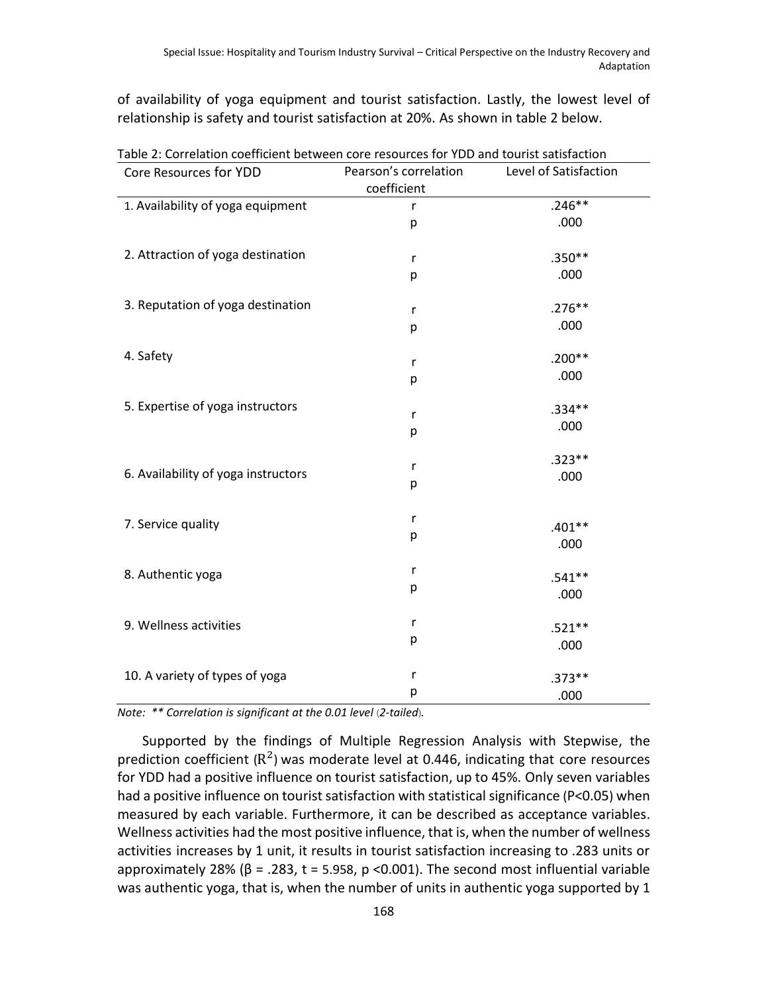of availability of yoga equipment and tourist satisfaction. Lastly, the lowest level of relationship is safety and tourist satisfaction at 20%. As shown in table 2 below.

| Pearson's correlation<br>Level of Satisfaction<br>Core Resources for YDD<br>coefficient<br>$.246**$<br>1. Availability of yoga equipment<br>r<br>.000<br>p<br>2. Attraction of yoga destination<br>$.350**$<br>r<br>.000<br>р<br>3. Reputation of yoga destination<br>$.276**$<br>r<br>.000<br>p<br>4. Safety<br>$.200**$<br>r<br>.000<br>р<br>5. Expertise of yoga instructors<br>$.334**$<br>r<br>.000<br>р<br>$.323**$<br>r<br>6. Availability of yoga instructors<br>.000<br>р<br>r<br>7. Service quality<br>$.401**$<br>р<br>.000<br>r<br>8. Authentic yoga<br>$.541**$<br>р<br>.000<br>r<br>9. Wellness activities<br>$.521**$<br>р<br>.000<br>r | Table 2: Correlation coefficient between core resources for YDD and tourist satisfaction |  |          |  |  |  |
|--------------------------------------------------------------------------------------------------------------------------------------------------------------------------------------------------------------------------------------------------------------------------------------------------------------------------------------------------------------------------------------------------------------------------------------------------------------------------------------------------------------------------------------------------------------------------------------------------------------------------------------------------------|------------------------------------------------------------------------------------------|--|----------|--|--|--|
|                                                                                                                                                                                                                                                                                                                                                                                                                                                                                                                                                                                                                                                        |                                                                                          |  |          |  |  |  |
|                                                                                                                                                                                                                                                                                                                                                                                                                                                                                                                                                                                                                                                        |                                                                                          |  |          |  |  |  |
|                                                                                                                                                                                                                                                                                                                                                                                                                                                                                                                                                                                                                                                        |                                                                                          |  |          |  |  |  |
|                                                                                                                                                                                                                                                                                                                                                                                                                                                                                                                                                                                                                                                        |                                                                                          |  |          |  |  |  |
|                                                                                                                                                                                                                                                                                                                                                                                                                                                                                                                                                                                                                                                        |                                                                                          |  |          |  |  |  |
|                                                                                                                                                                                                                                                                                                                                                                                                                                                                                                                                                                                                                                                        |                                                                                          |  |          |  |  |  |
|                                                                                                                                                                                                                                                                                                                                                                                                                                                                                                                                                                                                                                                        |                                                                                          |  |          |  |  |  |
|                                                                                                                                                                                                                                                                                                                                                                                                                                                                                                                                                                                                                                                        |                                                                                          |  |          |  |  |  |
|                                                                                                                                                                                                                                                                                                                                                                                                                                                                                                                                                                                                                                                        |                                                                                          |  |          |  |  |  |
|                                                                                                                                                                                                                                                                                                                                                                                                                                                                                                                                                                                                                                                        |                                                                                          |  |          |  |  |  |
|                                                                                                                                                                                                                                                                                                                                                                                                                                                                                                                                                                                                                                                        |                                                                                          |  |          |  |  |  |
|                                                                                                                                                                                                                                                                                                                                                                                                                                                                                                                                                                                                                                                        |                                                                                          |  |          |  |  |  |
|                                                                                                                                                                                                                                                                                                                                                                                                                                                                                                                                                                                                                                                        |                                                                                          |  |          |  |  |  |
|                                                                                                                                                                                                                                                                                                                                                                                                                                                                                                                                                                                                                                                        |                                                                                          |  |          |  |  |  |
|                                                                                                                                                                                                                                                                                                                                                                                                                                                                                                                                                                                                                                                        |                                                                                          |  |          |  |  |  |
|                                                                                                                                                                                                                                                                                                                                                                                                                                                                                                                                                                                                                                                        |                                                                                          |  |          |  |  |  |
|                                                                                                                                                                                                                                                                                                                                                                                                                                                                                                                                                                                                                                                        |                                                                                          |  |          |  |  |  |
|                                                                                                                                                                                                                                                                                                                                                                                                                                                                                                                                                                                                                                                        |                                                                                          |  |          |  |  |  |
|                                                                                                                                                                                                                                                                                                                                                                                                                                                                                                                                                                                                                                                        |                                                                                          |  |          |  |  |  |
|                                                                                                                                                                                                                                                                                                                                                                                                                                                                                                                                                                                                                                                        |                                                                                          |  |          |  |  |  |
|                                                                                                                                                                                                                                                                                                                                                                                                                                                                                                                                                                                                                                                        |                                                                                          |  |          |  |  |  |
|                                                                                                                                                                                                                                                                                                                                                                                                                                                                                                                                                                                                                                                        |                                                                                          |  |          |  |  |  |
|                                                                                                                                                                                                                                                                                                                                                                                                                                                                                                                                                                                                                                                        |                                                                                          |  |          |  |  |  |
|                                                                                                                                                                                                                                                                                                                                                                                                                                                                                                                                                                                                                                                        |                                                                                          |  |          |  |  |  |
|                                                                                                                                                                                                                                                                                                                                                                                                                                                                                                                                                                                                                                                        |                                                                                          |  |          |  |  |  |
|                                                                                                                                                                                                                                                                                                                                                                                                                                                                                                                                                                                                                                                        |                                                                                          |  |          |  |  |  |
|                                                                                                                                                                                                                                                                                                                                                                                                                                                                                                                                                                                                                                                        |                                                                                          |  |          |  |  |  |
|                                                                                                                                                                                                                                                                                                                                                                                                                                                                                                                                                                                                                                                        |                                                                                          |  |          |  |  |  |
|                                                                                                                                                                                                                                                                                                                                                                                                                                                                                                                                                                                                                                                        | 10. A variety of types of yoga                                                           |  | $.373**$ |  |  |  |
| р<br>.000                                                                                                                                                                                                                                                                                                                                                                                                                                                                                                                                                                                                                                              |                                                                                          |  |          |  |  |  |

*Note:* \*\* Correlation is significant at the 0.01 level (2-tailed).

Supported by the findings of Multiple Regression Analysis with Stepwise, the prediction coefficient ( $\mathsf{R}^2$ ) was moderate level at 0.446, indicating that core resources for YDD had a positive influence on tourist satisfaction, up to 45%. Only seven variables had a positive influence on tourist satisfaction with statistical significance (P<0.05) when measured by each variable. Furthermore, it can be described as acceptance variables. Wellness activities had the most positive influence, that is, when the number of wellness activities increases by 1 unit, it results in tourist satisfaction increasing to .283 units or approximately 28% ( $\beta$  = .283, t = 5.958, p <0.001). The second most influential variable was authentic yoga, that is, when the number of units in authentic yoga supported by 1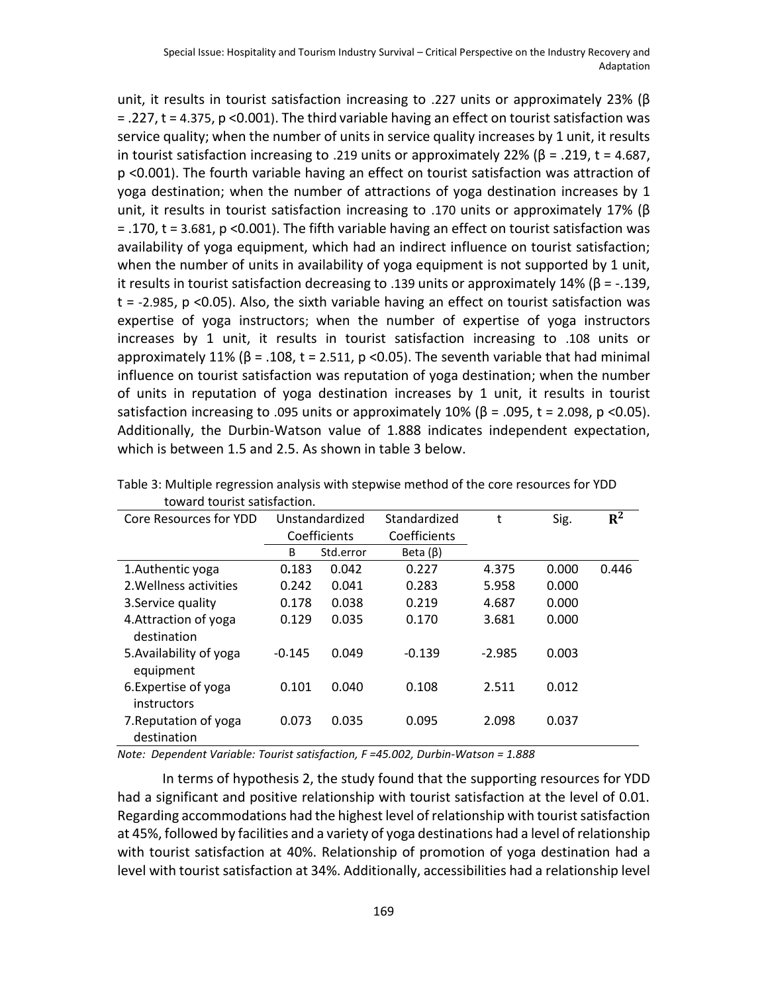unit, it results in tourist satisfaction increasing to .227 units or approximately 23% (β = .227, t = 4.375, p <0.001). The third variable having an effect on tourist satisfaction was service quality; when the number of units in service quality increases by 1 unit, it results in tourist satisfaction increasing to .219 units or approximately 22% ( $\beta$  = .219, t = 4.687, p <0.001). The fourth variable having an effect on tourist satisfaction was attraction of yoga destination; when the number of attractions of yoga destination increases by 1 unit, it results in tourist satisfaction increasing to .170 units or approximately 17% ( $\beta$ = .170, t = 3.681, p <0.001). The fifth variable having an effect on tourist satisfaction was availability of yoga equipment, which had an indirect influence on tourist satisfaction; when the number of units in availability of yoga equipment is not supported by 1 unit, it results in tourist satisfaction decreasing to .139 units or approximately 14% (β = -.139, t = -2.985, p <0.05). Also, the sixth variable having an effect on tourist satisfaction was expertise of yoga instructors; when the number of expertise of yoga instructors increases by 1 unit, it results in tourist satisfaction increasing to .108 units or approximately 11% ( $\beta$  = .108, t = 2.511, p < 0.05). The seventh variable that had minimal influence on tourist satisfaction was reputation of yoga destination; when the number of units in reputation of yoga destination increases by 1 unit, it results in tourist satisfaction increasing to .095 units or approximately 10% ( $\beta$  = .095, t = 2.098, p <0.05). Additionally, the Durbin-Watson value of 1.888 indicates independent expectation, which is between 1.5 and 2.5. As shown in table 3 below.

| Core Resources for YDD               |          | Unstandardized | Standardized   | t        | Sig.  | $R^2$ |
|--------------------------------------|----------|----------------|----------------|----------|-------|-------|
|                                      |          | Coefficients   | Coefficients   |          |       |       |
|                                      | B        | Std.error      | Beta $(\beta)$ |          |       |       |
| 1. Authentic yoga                    | 0.183    | 0.042          | 0.227          | 4.375    | 0.000 | 0.446 |
| 2. Wellness activities               | 0.242    | 0.041          | 0.283          | 5.958    | 0.000 |       |
| 3. Service quality                   | 0.178    | 0.038          | 0.219          | 4.687    | 0.000 |       |
| 4. Attraction of yoga<br>destination | 0.129    | 0.035          | 0.170          | 3.681    | 0.000 |       |
| 5. Availability of yoga<br>equipment | $-0.145$ | 0.049          | $-0.139$       | $-2.985$ | 0.003 |       |
| 6. Expertise of yoga<br>instructors  | 0.101    | 0.040          | 0.108          | 2.511    | 0.012 |       |
| 7. Reputation of yoga<br>destination | 0.073    | 0.035          | 0.095          | 2.098    | 0.037 |       |

Table 3: Multiple regression analysis with stepwise method of the core resources for YDD toward tourist satisfaction.

*Note: Dependent Variable: Tourist satisfaction, F =45.002, Durbin-Watson = 1.888*

In terms of hypothesis 2, the study found that the supporting resources for YDD had a significant and positive relationship with tourist satisfaction at the level of 0.01. Regarding accommodations had the highest level of relationship with tourist satisfaction at 45%, followed by facilities and a variety of yoga destinations had a level of relationship with tourist satisfaction at 40%. Relationship of promotion of yoga destination had a level with tourist satisfaction at 34%. Additionally, accessibilities had a relationship level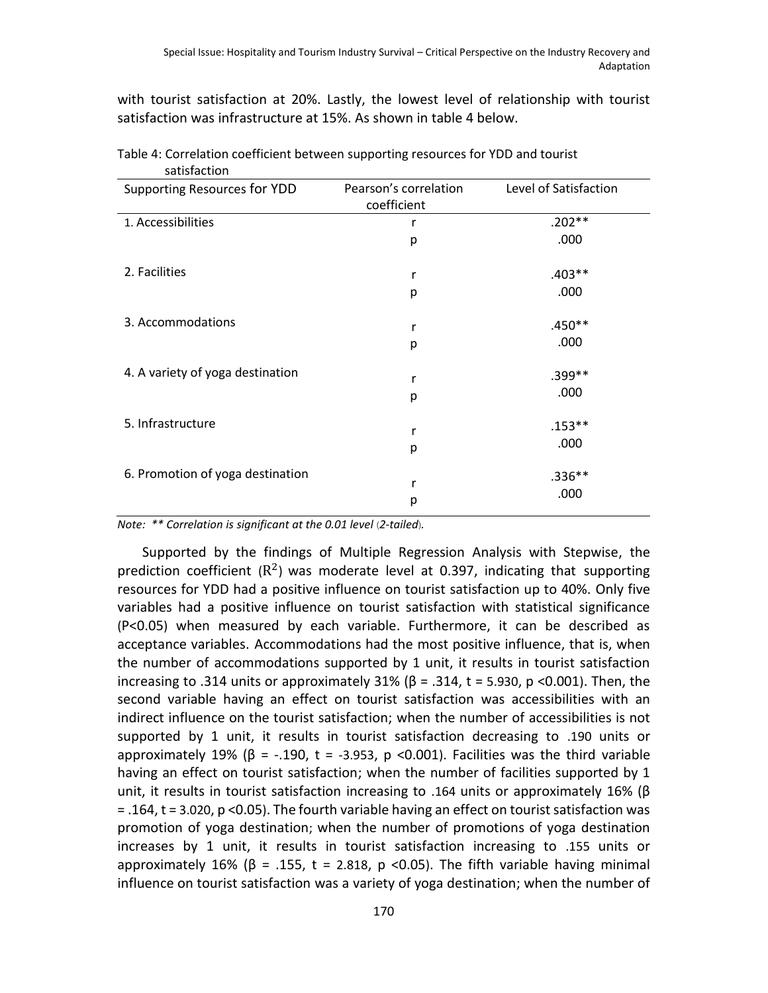with tourist satisfaction at 20%. Lastly, the lowest level of relationship with tourist satisfaction was infrastructure at 15%. As shown in table 4 below.

| <b>sausiacuoii</b>               |                                      |                       |
|----------------------------------|--------------------------------------|-----------------------|
| Supporting Resources for YDD     | Pearson's correlation<br>coefficient | Level of Satisfaction |
| 1. Accessibilities               | r                                    | $.202**$              |
|                                  | р                                    | .000                  |
| 2. Facilities                    | r                                    | $.403**$              |
|                                  | р                                    | .000                  |
| 3. Accommodations                | r                                    | $.450**$              |
|                                  | р                                    | .000                  |
| 4. A variety of yoga destination | r                                    | .399**                |
|                                  | р                                    | .000                  |
| 5. Infrastructure                | r                                    | $.153***$             |
|                                  | р                                    | .000                  |
| 6. Promotion of yoga destination | r<br>р                               | $.336**$<br>.000      |
|                                  |                                      |                       |

Table 4: Correlation coefficient between supporting resources for YDD and tourist satisfaction

*Note:* \*\* Correlation is significant at the 0.01 level (2-tailed).

Supported by the findings of Multiple Regression Analysis with Stepwise, the prediction coefficient ( $R^2$ ) was moderate level at 0.397, indicating that supporting resources for YDD had a positive influence on tourist satisfaction up to 40%. Only five variables had a positive influence on tourist satisfaction with statistical significance (P<0.05) when measured by each variable. Furthermore, it can be described as acceptance variables. Accommodations had the most positive influence, that is, when the number of accommodations supported by 1 unit, it results in tourist satisfaction increasing to .314 units or approximately 31% ( $\beta$  = .314, t = 5.930, p <0.001). Then, the second variable having an effect on tourist satisfaction was accessibilities with an indirect influence on the tourist satisfaction; when the number of accessibilities is not supported by 1 unit, it results in tourist satisfaction decreasing to .190 units or approximately 19% ( $\beta$  = -.190, t = -3.953, p <0.001). Facilities was the third variable having an effect on tourist satisfaction; when the number of facilities supported by 1 unit, it results in tourist satisfaction increasing to .164 units or approximately 16% ( $\beta$ = .164, t = 3.020, p <0.05). The fourth variable having an effect on tourist satisfaction was promotion of yoga destination; when the number of promotions of yoga destination increases by 1 unit, it results in tourist satisfaction increasing to .155 units or approximately 16% (β = .155, t = 2.818, p <0.05). The fifth variable having minimal influence on tourist satisfaction was a variety of yoga destination; when the number of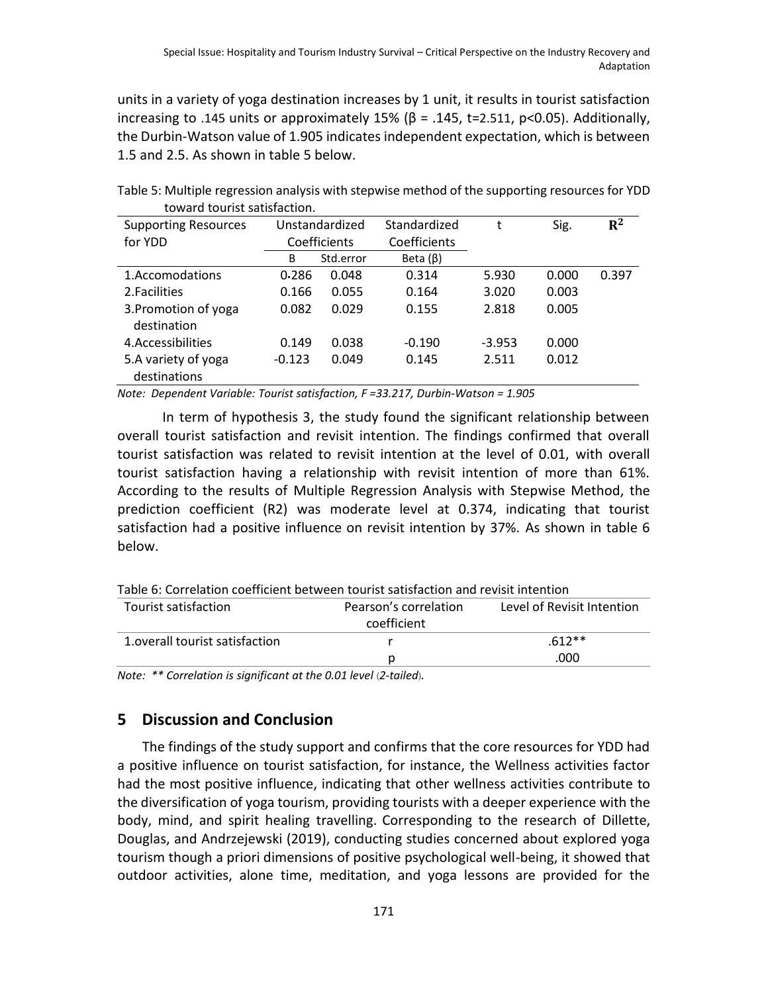units in a variety of yoga destination increases by 1 unit, it results in tourist satisfaction increasing to .145 units or approximately  $15\%$  ( $\beta$  = .145, t=2.511, p<0.05). Additionally, the Durbin-Watson value of 1.905 indicates independent expectation, which is between 1.5 and 2.5. As shown in table 5 below.

| toward tourist satisfaction.        |          |                |                |          |       |       |
|-------------------------------------|----------|----------------|----------------|----------|-------|-------|
| <b>Supporting Resources</b>         |          | Unstandardized | Standardized   |          | Sig.  | $R^2$ |
| for YDD                             |          | Coefficients   | Coefficients   |          |       |       |
|                                     | B        | Std.error      | Beta $(\beta)$ |          |       |       |
| 1.Accomodations                     | 0.286    | 0.048          | 0.314          | 5.930    | 0.000 | 0.397 |
| 2. Facilities                       | 0.166    | 0.055          | 0.164          | 3.020    | 0.003 |       |
| 3. Promotion of yoga<br>destination | 0.082    | 0.029          | 0.155          | 2.818    | 0.005 |       |
| 4. Accessibilities                  | 0.149    | 0.038          | $-0.190$       | $-3.953$ | 0.000 |       |
| 5.A variety of yoga<br>destinations | $-0.123$ | 0.049          | 0.145          | 2.511    | 0.012 |       |

Table 5: Multiple regression analysis with stepwise method of the supporting resources for YDD toward tourist satisfaction.

*Note: Dependent Variable: Tourist satisfaction, F =33.217, Durbin-Watson = 1.905*

In term of hypothesis 3, the study found the significant relationship between overall tourist satisfaction and revisit intention. The findings confirmed that overall tourist satisfaction was related to revisit intention at the level of 0.01, with overall tourist satisfaction having a relationship with revisit intention of more than 61%. According to the results of Multiple Regression Analysis with Stepwise Method, the prediction coefficient (R2) was moderate level at 0.374, indicating that tourist satisfaction had a positive influence on revisit intention by 37%. As shown in table 6 below.

| Table 6: Correlation coefficient between tourist satisfaction and revisit intention |                                      |                            |
|-------------------------------------------------------------------------------------|--------------------------------------|----------------------------|
| Tourist satisfaction                                                                | Pearson's correlation<br>coefficient | Level of Revisit Intention |
| 1. overall tourist satisfaction                                                     |                                      | $.612**$                   |
|                                                                                     |                                      | .000                       |
|                                                                                     |                                      |                            |

Table 6: Correlation coefficient between tourist satisfaction and revisit intention

*Note:* \*\* Correlation is significant at the 0.01 level (2-tailed).

## **5 Discussion and Conclusion**

The findings of the study support and confirms that the core resources for YDD had a positive influence on tourist satisfaction, for instance, the Wellness activities factor had the most positive influence, indicating that other wellness activities contribute to the diversification of yoga tourism, providing tourists with a deeper experience with the body, mind, and spirit healing travelling. Corresponding to the research of Dillette, Douglas, and Andrzejewski (2019), conducting studies concerned about explored yoga tourism though a priori dimensions of positive psychological well-being, it showed that outdoor activities, alone time, meditation, and yoga lessons are provided for the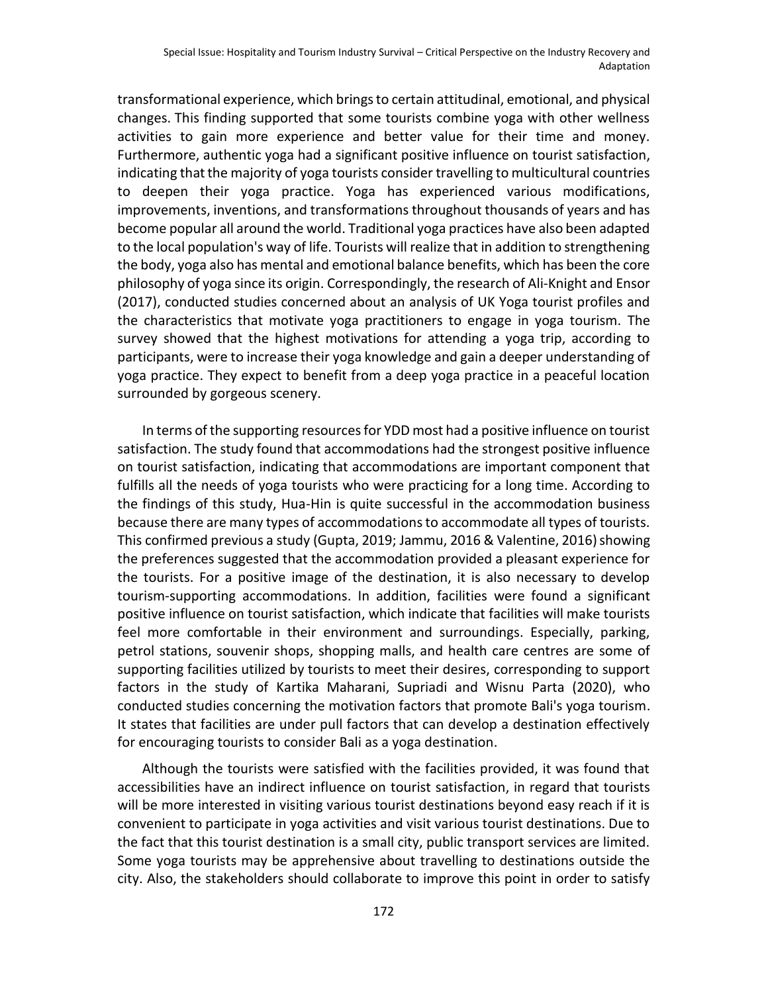transformational experience, which brings to certain attitudinal, emotional, and physical changes. This finding supported that some tourists combine yoga with other wellness activities to gain more experience and better value for their time and money. Furthermore, authentic yoga had a significant positive influence on tourist satisfaction, indicating that the majority of yoga tourists consider travelling to multicultural countries to deepen their yoga practice. Yoga has experienced various modifications, improvements, inventions, and transformations throughout thousands of years and has become popular all around the world. Traditional yoga practices have also been adapted to the local population's way of life. Tourists will realize that in addition to strengthening the body, yoga also has mental and emotional balance benefits, which has been the core philosophy of yoga since its origin. Correspondingly, the research of Ali-Knight and Ensor (2017), conducted studies concerned about an analysis of UK Yoga tourist profiles and the characteristics that motivate yoga practitioners to engage in yoga tourism. The survey showed that the highest motivations for attending a yoga trip, according to participants, were to increase their yoga knowledge and gain a deeper understanding of yoga practice. They expect to benefit from a deep yoga practice in a peaceful location surrounded by gorgeous scenery.

In terms of the supporting resources for YDD most had a positive influence on tourist satisfaction. The study found that accommodations had the strongest positive influence on tourist satisfaction, indicating that accommodations are important component that fulfills all the needs of yoga tourists who were practicing for a long time. According to the findings of this study, Hua-Hin is quite successful in the accommodation business because there are many types of accommodations to accommodate all types of tourists. This confirmed previous a study (Gupta, 2019; Jammu, 2016 & Valentine, 2016) showing the preferences suggested that the accommodation provided a pleasant experience for the tourists. For a positive image of the destination, it is also necessary to develop tourism-supporting accommodations. In addition, facilities were found a significant positive influence on tourist satisfaction, which indicate that facilities will make tourists feel more comfortable in their environment and surroundings. Especially, parking, petrol stations, souvenir shops, shopping malls, and health care centres are some of supporting facilities utilized by tourists to meet their desires, corresponding to support factors in the study of Kartika Maharani, Supriadi and Wisnu Parta (2020), who conducted studies concerning the motivation factors that promote Bali's yoga tourism. It states that facilities are under pull factors that can develop a destination effectively for encouraging tourists to consider Bali as a yoga destination.

Although the tourists were satisfied with the facilities provided, it was found that accessibilities have an indirect influence on tourist satisfaction, in regard that tourists will be more interested in visiting various tourist destinations beyond easy reach if it is convenient to participate in yoga activities and visit various tourist destinations. Due to the fact that this tourist destination is a small city, public transport services are limited. Some yoga tourists may be apprehensive about travelling to destinations outside the city. Also, the stakeholders should collaborate to improve this point in order to satisfy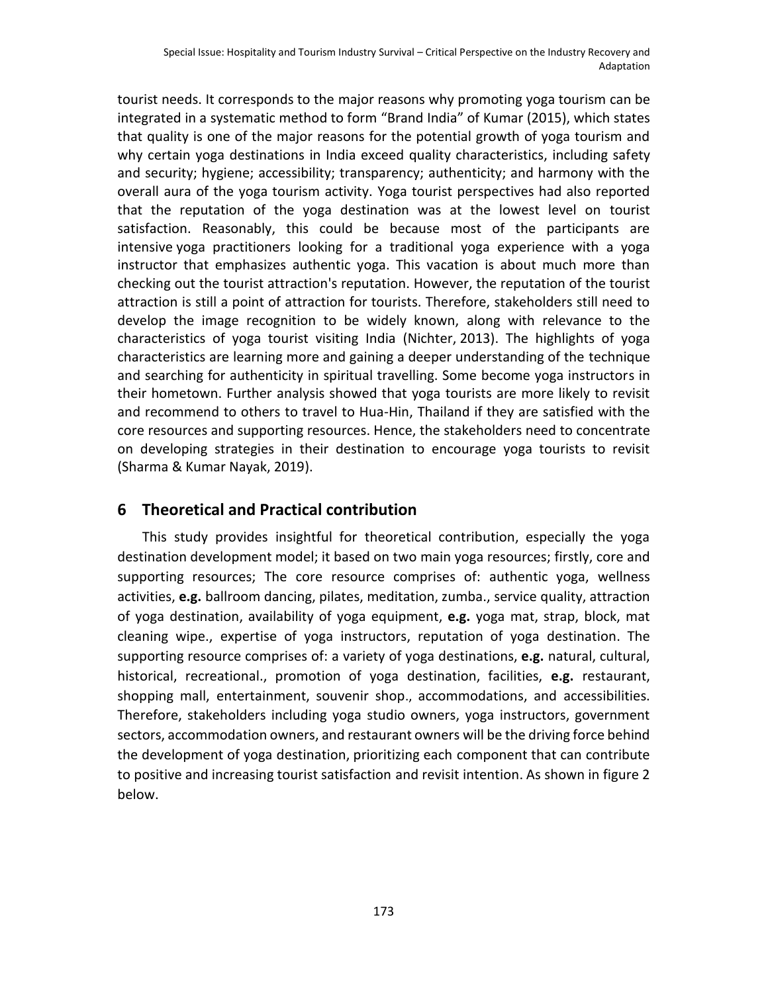tourist needs. It corresponds to the major reasons why promoting yoga tourism can be integrated in a systematic method to form "Brand India" of Kumar (2015), which states that quality is one of the major reasons for the potential growth of yoga tourism and why certain yoga destinations in India exceed quality characteristics, including safety and security; hygiene; accessibility; transparency; authenticity; and harmony with the overall aura of the yoga tourism activity. Yoga tourist perspectives had also reported that the reputation of the yoga destination was at the lowest level on tourist satisfaction. Reasonably, this could be because most of the participants are intensive yoga practitioners looking for a traditional yoga experience with a yoga instructor that emphasizes authentic yoga. This vacation is about much more than checking out the tourist attraction's reputation. However, the reputation of the tourist attraction is still a point of attraction for tourists. Therefore, stakeholders still need to develop the image recognition to be widely known, along with relevance to the characteristics of yoga tourist visiting India (Nichter, 2013). The highlights of yoga characteristics are learning more and gaining a deeper understanding of the technique and searching for authenticity in spiritual travelling. Some become yoga instructors in their hometown. Further analysis showed that yoga tourists are more likely to revisit and recommend to others to travel to Hua-Hin, Thailand if they are satisfied with the core resources and supporting resources. Hence, the stakeholders need to concentrate on developing strategies in their destination to encourage yoga tourists to revisit (Sharma & Kumar Nayak, 2019).

## **6 Theoretical and Practical contribution**

This study provides insightful for theoretical contribution, especially the yoga destination development model; it based on two main yoga resources; firstly, core and supporting resources; The core resource comprises of: authentic yoga, wellness activities, **e.g.** ballroom dancing, pilates, meditation, zumba., service quality, attraction of yoga destination, availability of yoga equipment, **e.g.** yoga mat, strap, block, mat cleaning wipe., expertise of yoga instructors, reputation of yoga destination. The supporting resource comprises of: a variety of yoga destinations, **e.g.** natural, cultural, historical, recreational., promotion of yoga destination, facilities, **e.g.** restaurant, shopping mall, entertainment, souvenir shop., accommodations, and accessibilities. Therefore, stakeholders including yoga studio owners, yoga instructors, government sectors, accommodation owners, and restaurant owners will be the driving force behind the development of yoga destination, prioritizing each component that can contribute to positive and increasing tourist satisfaction and revisit intention. As shown in figure 2 below.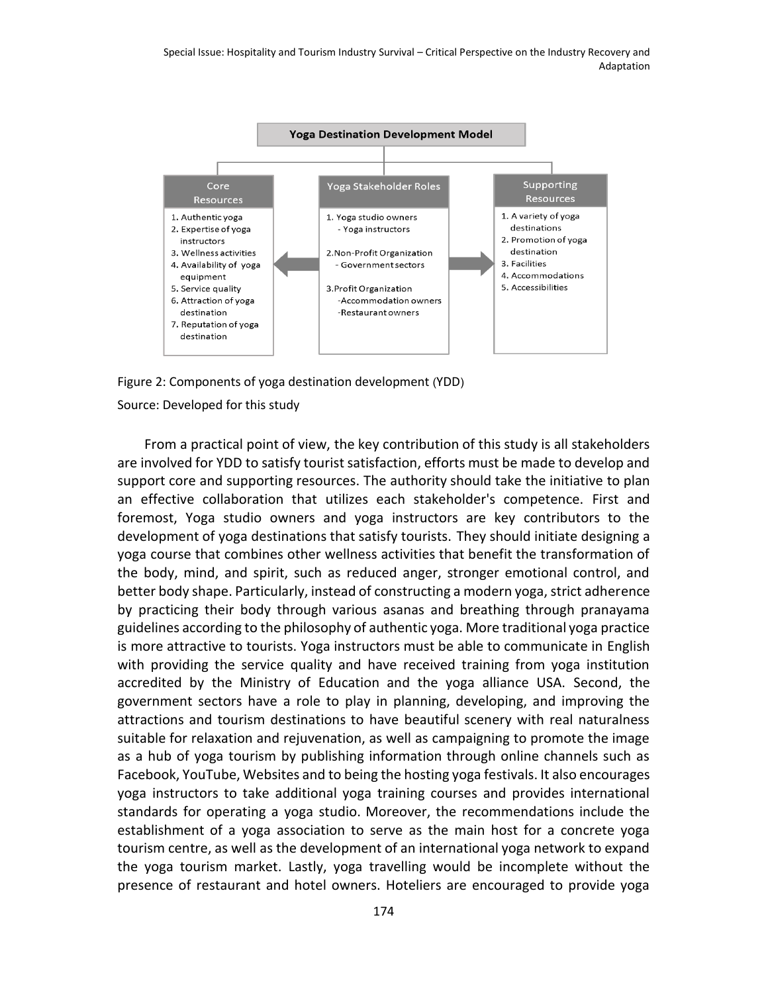

Figure 2: Components of yoga destination development (YDD)

#### Source: Developed for this study

From a practical point of view, the key contribution of this study is all stakeholders are involved for YDD to satisfy tourist satisfaction, efforts must be made to develop and support core and supporting resources. The authority should take the initiative to plan an effective collaboration that utilizes each stakeholder's competence. First and foremost, Yoga studio owners and yoga instructors are key contributors to the development of yoga destinations that satisfy tourists. They should initiate designing a yoga course that combines other wellness activities that benefit the transformation of the body, mind, and spirit, such as reduced anger, stronger emotional control, and better body shape. Particularly, instead of constructing a modern yoga, strict adherence by practicing their body through various asanas and breathing through pranayama guidelines according to the philosophy of authentic yoga. More traditional yoga practice is more attractive to tourists. Yoga instructors must be able to communicate in English with providing the service quality and have received training from yoga institution accredited by the Ministry of Education and the yoga alliance USA. Second, the government sectors have a role to play in planning, developing, and improving the attractions and tourism destinations to have beautiful scenery with real naturalness suitable for relaxation and rejuvenation, as well as campaigning to promote the image as a hub of yoga tourism by publishing information through online channels such as Facebook, YouTube, Websites and to being the hosting yoga festivals. It also encourages yoga instructors to take additional yoga training courses and provides international standards for operating a yoga studio. Moreover, the recommendations include the establishment of a yoga association to serve as the main host for a concrete yoga tourism centre, as well as the development of an international yoga network to expand the yoga tourism market. Lastly, yoga travelling would be incomplete without the presence of restaurant and hotel owners. Hoteliers are encouraged to provide yoga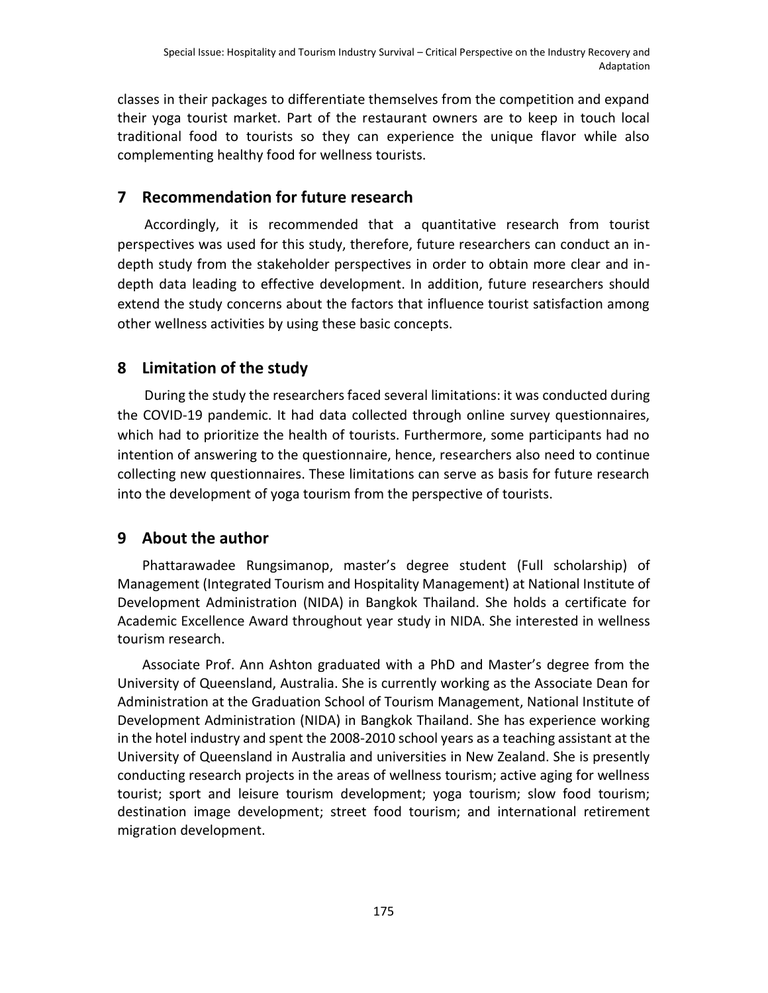classes in their packages to differentiate themselves from the competition and expand their yoga tourist market. Part of the restaurant owners are to keep in touch local traditional food to tourists so they can experience the unique flavor while also complementing healthy food for wellness tourists.

## **7 Recommendation for future research**

Accordingly, it is recommended that a quantitative research from tourist perspectives was used for this study, therefore, future researchers can conduct an indepth study from the stakeholder perspectives in order to obtain more clear and indepth data leading to effective development. In addition, future researchers should extend the study concerns about the factors that influence tourist satisfaction among other wellness activities by using these basic concepts.

# **8 Limitation of the study**

During the study the researchers faced several limitations: it was conducted during the COVID-19 pandemic. It had data collected through online survey questionnaires, which had to prioritize the health of tourists. Furthermore, some participants had no intention of answering to the questionnaire, hence, researchers also need to continue collecting new questionnaires. These limitations can serve as basis for future research into the development of yoga tourism from the perspective of tourists.

# **9 About the author**

Phattarawadee Rungsimanop, master's degree student (Full scholarship) of Management (Integrated Tourism and Hospitality Management) at National Institute of Development Administration (NIDA) in Bangkok Thailand. She holds a certificate for Academic Excellence Award throughout year study in NIDA. She interested in wellness tourism research.

Associate Prof. Ann Ashton graduated with a PhD and Master's degree from the University of Queensland, Australia. She is currently working as the Associate Dean for Administration at the Graduation School of Tourism Management, National Institute of Development Administration (NIDA) in Bangkok Thailand. She has experience working in the hotel industry and spent the 2008-2010 school years as a teaching assistant at the University of Queensland in Australia and universities in New Zealand. She is presently conducting research projects in the areas of wellness tourism; active aging for wellness tourist; sport and leisure tourism development; yoga tourism; slow food tourism; destination image development; street food tourism; and international retirement migration development.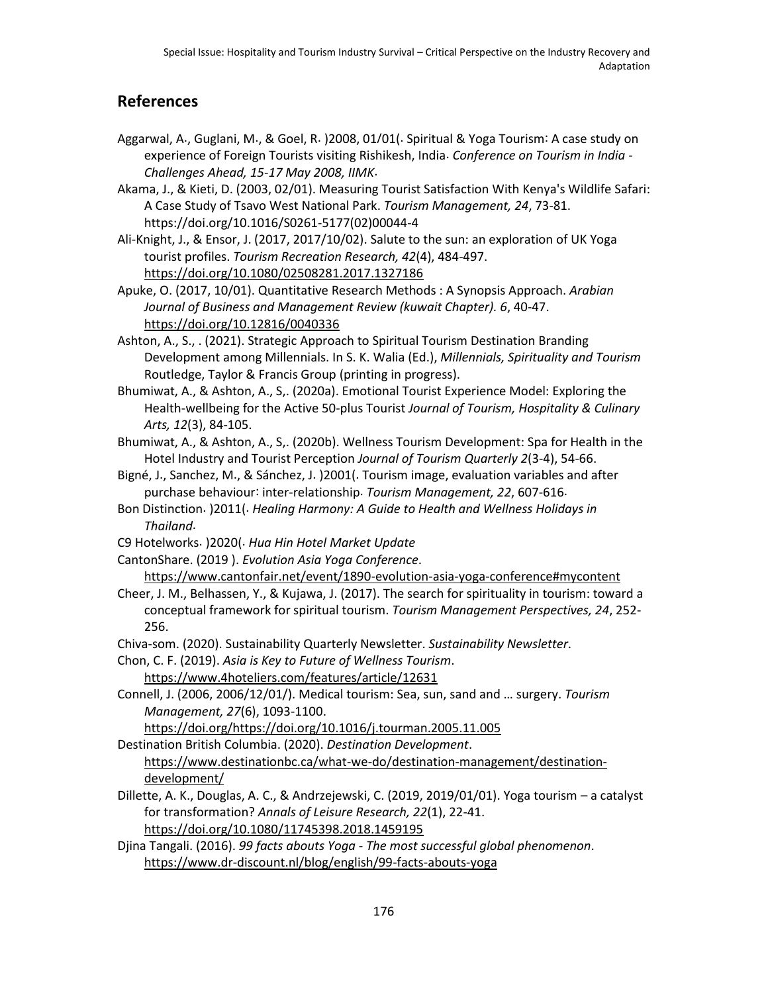# **References**

- Aggarwal, A., Guglani, M., & Goel, R. )2008, 01/01(. Spiritual & Yoga Tourism: A case study on experience of Foreign Tourists visiting Rishikesh, India. *Conference on Tourism in India - Challenges Ahead, 15-17 May 2008, IIMK*.
- Akama, J., & Kieti, D. (2003, 02/01). Measuring Tourist Satisfaction With Kenya's Wildlife Safari A Case Study of Tsavo West National Park. *Tourism Management, 24*, 73-81. https //doi.org/10.1016/S0261-5177(02)[00044](https://doi.org/10.1016/S0261-5177(02)00044-4)-4

Ali-Knight, J., & Ensor, J. (2017, 2017/10/02). Salute to the sun: an exploration of UK Yoga tourist profiles. *Tourism Recreation Research, 42*(4), 484-497. <https://doi.org/10.1080/02508281.2017.1327186>

Apuke, O. (2017, 10/01). Quantitative Research Methods : A Synopsis Approach. *Arabian Journal of Business and Management Review (kuwait Chapter). 6*, 40-47. <https://doi.org/10.12816/0040336>

- Ashton, A., S., . (2021). Strategic Approach to Spiritual Tourism Destination Branding Development among Millennials. In S. K. Walia (Ed.), *Millennials, Spirituality and Tourism*  Routledge, Taylor & Francis Group (printing in progress).
- Bhumiwat, A., & Ashton, A., S,. (2020a). Emotional Tourist Experience Model: Exploring the Health-wellbeing for the Active 50-plus Tourist *Journal of Tourism, Hospitality & Culinary Arts, 12*(3), 84-105.
- Bhumiwat, A., & Ashton, A., S,. (2020b). Wellness Tourism Development: Spa for Health in the Hotel Industry and Tourist Perception *Journal of Tourism Quarterly 2*(3-4), 54-66.
- Bigné, J., Sanchez, M., & Sánchez, J. )2001(. Tourism image, evaluation variables and after purchase behaviour inter-relationship. *Tourism Management, 22*, 607-616.
- Bon Distinction. )2011(. *Healing Harmony: A Guide to Health and Wellness Holidays in Thailand*.
- C9 Hotelworks. )2020(. *Hua Hin Hotel Market Update*
- CantonShare. (2019 ). *Evolution Asia Yoga Conference*.

<https://www.cantonfair.net/event/1890-evolution-asia-yoga-conference#mycontent>

- Cheer, J. M., Belhassen, Y., & Kujawa, J. (2017). The search for spirituality in tourism: toward a conceptual framework for spiritual tourism. *Tourism Management Perspectives, 24*, 252- 256.
- Chiva-som. (2020). Sustainability Quarterly Newsletter. *Sustainability Newsletter*.
- Chon, C. F. (2019). *Asia is Key to Future of Wellness Tourism*.
	- <https://www.4hoteliers.com/features/article/12631>
- Connell, J. (2006, 2006/12/01/). Medical tourism: Sea, sun, sand and … surgery. *Tourism Management, 27*(6), 1093-1100.

[https://doi.org/https://doi.org/10.1016/j.tourman.2005.11.005](https://doi.org/https:/doi.org/10.1016/j.tourman.2005.11.005)

Destination British Columbia. (2020). *Destination Development*. [https://www.destinationbc.ca/what-we-do/destination-management/destination](https://www.destinationbc.ca/what-we-do/destination-management/destination-development/)[development/](https://www.destinationbc.ca/what-we-do/destination-management/destination-development/)

- Dillette, A. K., Douglas, A. C., & Andrzejewski, C. (2019, 2019/01/01). Yoga tourism a catalyst for transformation? *Annals of Leisure Research, 22*(1), 22-41. <https://doi.org/10.1080/11745398.2018.1459195>
- Djina Tangali. (2016). *99 facts abouts Yoga - The most successful global phenomenon*. <https://www.dr-discount.nl/blog/english/99-facts-abouts-yoga>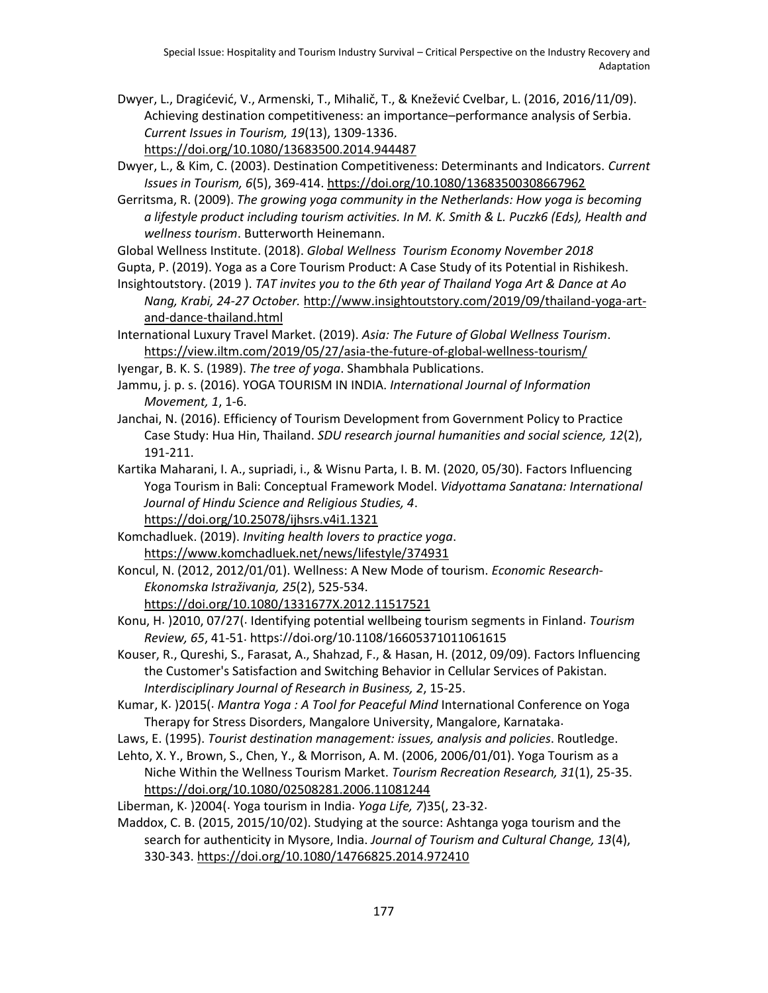Dwyer, L., Dragićević, V., Armenski, T., Mihalič, T., & Knežević Cvelbar, L. (2016, 2016/11/09). Achieving destination competitiveness: an importance–performance analysis of Serbia. *Current Issues in Tourism, 19*(13), 1309-1336.

<https://doi.org/10.1080/13683500.2014.944487>

- Dwyer, L., & Kim, C. (2003). Destination Competitiveness: Determinants and Indicators. *Current Issues in Tourism, 6*(5), 369-414.<https://doi.org/10.1080/13683500308667962>
- Gerritsma, R. (2009). *The growing yoga community in the Netherlands: How yoga is becoming a lifestyle product including tourism activities. In M. K. Smith & L. Puczk6 (Eds), Health and wellness tourism*. Butterworth Heinemann.

Global Wellness Institute. (2018). *Global Wellness Tourism Economy November 2018*

- Gupta, P. (2019). Yoga as a Core Tourism Product: A Case Study of its Potential in Rishikesh.
- Insightoutstory. (2019 ). *TAT invites you to the 6th year of Thailand Yoga Art & Dance at Ao Nang, Krabi, 24-27 October.* [http://www.insightoutstory.com/2019/09/thailand-yoga-art](http://www.insightoutstory.com/2019/09/thailand-yoga-art-and-dance-thailand.html)[and-dance-thailand.html](http://www.insightoutstory.com/2019/09/thailand-yoga-art-and-dance-thailand.html)
- International Luxury Travel Market. (2019). *Asia: The Future of Global Wellness Tourism*. <https://view.iltm.com/2019/05/27/asia-the-future-of-global-wellness-tourism/>
- Iyengar, B. K. S. (1989). *The tree of yoga*. Shambhala Publications.
- Jammu, j. p. s. (2016). YOGA TOURISM IN INDIA. *International Journal of Information Movement, 1*, 1-6.
- Janchai, N. (2016). Efficiency of Tourism Development from Government Policy to Practice Case Study: Hua Hin, Thailand. *SDU research journal humanities and social science, 12*(2), 191-211.
- Kartika Maharani, I. A., supriadi, i., & Wisnu Parta, I. B. M. (2020, 05/30). Factors Influencing Yoga Tourism in Bali: Conceptual Framework Model. *Vidyottama Sanatana: International Journal of Hindu Science and Religious Studies, 4*.

<https://doi.org/10.25078/ijhsrs.v4i1.1321>

- Komchadluek. (2019). *Inviting health lovers to practice yoga*. <https://www.komchadluek.net/news/lifestyle/374931>
- Koncul, N. (2012, 2012/01/01). Wellness: A New Mode of tourism. *Economic Research-Ekonomska Istraživanja, 25*(2), 525-534.

<https://doi.org/10.1080/1331677X.2012.11517521>

Konu, H. )2010, 07 27(. Identifying potential wellbeing tourism segments in Finland. *Tourism Review, 65, 41-51.* https://doi.org/10.1108/[16605371011061615](https://doi.org/10.1108/16605371011061615)

Kouser, R., Qureshi, S., Farasat, A., Shahzad, F., & Hasan, H. (2012, 09/09). Factors Influencing the Customer's Satisfaction and Switching Behavior in Cellular Services of Pakistan. *Interdisciplinary Journal of Research in Business, 2*, 15-25.

Kumar, K. )2015(. *Mantra Yoga : A Tool for Peaceful Mind* International Conference on Yoga Therapy for Stress Disorders, Mangalore University, Mangalore, Karnataka.

Laws, E. (1995). *Tourist destination management: issues, analysis and policies*. Routledge.

Lehto, X. Y., Brown, S., Chen, Y., & Morrison, A. M. (2006, 2006/01/01). Yoga Tourism as a Niche Within the Wellness Tourism Market. *Tourism Recreation Research, 31*(1), 25-35. <https://doi.org/10.1080/02508281.2006.11081244>

Liberman, K. )2004(. Yoga tourism in India. *Yoga Life, 7*)35(, 23-32.

Maddox, C. B. (2015, 2015/10/02). Studying at the source: Ashtanga yoga tourism and the search for authenticity in Mysore, India. *Journal of Tourism and Cultural Change, 13*(4), 330-343.<https://doi.org/10.1080/14766825.2014.972410>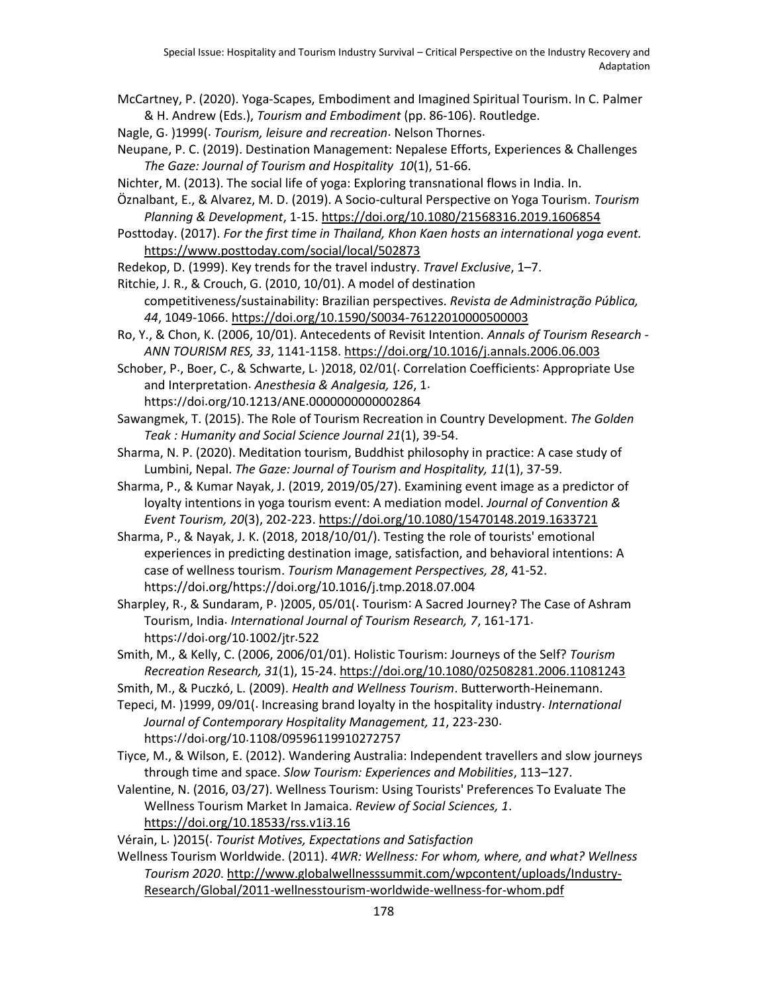McCartney, P. (2020). Yoga-Scapes, Embodiment and Imagined Spiritual Tourism. In C. Palmer & H. Andrew (Eds.), *Tourism and Embodiment* (pp. 86-106). Routledge.

Nagle, G. )1999(. *Tourism, leisure and recreation*. Nelson Thornes.

Neupane, P. C. (2019). Destination Management: Nepalese Efforts, Experiences & Challenges *The Gaze: Journal of Tourism and Hospitality 10*(1), 51-66.

Nichter, M. (2013). The social life of yoga: Exploring transnational flows in India. In.

Öznalbant, E., & Alvarez, M. D. (2019). A Socio-cultural Perspective on Yoga Tourism. *Tourism Planning & Development*, 1-15.<https://doi.org/10.1080/21568316.2019.1606854>

Posttoday. (2017). *For the first time in Thailand, Khon Kaen hosts an international yoga event.* <https://www.posttoday.com/social/local/502873>

Redekop, D. (1999). Key trends for the travel industry. *Travel Exclusive*, 1–7.

Ritchie, J. R., & Crouch, G. (2010, 10/01). A model of destination competitiveness/sustainability: Brazilian perspectives. *Revista de Administração Pública, 44*, 1049-1066[. https://doi.org/10.1590/S0034-76122010000500003](https://doi.org/10.1590/S0034-76122010000500003)

Ro, Y., & Chon, K. (2006, 10/01). Antecedents of Revisit Intention. *Annals of Tourism Research - ANN TOURISM RES, 33*, 1141-1158[. https://doi.org/10.1016/j.annals.2006.06.003](https://doi.org/10.1016/j.annals.2006.06.003)

Schober, P., Boer, C., & Schwarte, L. )2018, 02/01(. Correlation Coefficients: Appropriate Use and Interpretation. *Anesthesia & Analgesia, 126*, 1. https://doi.org/10.1213/ANE.[0000000000002864](https://doi.org/10.1213/ANE.0000000000002864)

Sawangmek, T. (2015). The Role of Tourism Recreation in Country Development. *The Golden Teak : Humanity and Social Science Journal 21*(1), 39-54.

Sharma, N. P. (2020). Meditation tourism, Buddhist philosophy in practice: A case study of Lumbini, Nepal. *The Gaze: Journal of Tourism and Hospitality, 11*(1), 37-59.

Sharma, P., & Kumar Nayak, J. (2019, 2019/05/27). Examining event image as a predictor of loyalty intentions in yoga tourism event: A mediation model. *Journal of Convention & Event Tourism, 20*(3), 202-223.<https://doi.org/10.1080/15470148.2019.1633721>

Sharma, P., & Nayak, J. K. (2018, 2018/10/01/). Testing the role of tourists' emotional experiences in predicting destination image, satisfaction, and behavioral intentions: A case of wellness tourism. *Tourism Management Perspectives, 28*, 41-52. https //doi.org/https //doi.org/10.1016/j.tmp.2018.07.004

Sharpley, R., & Sundaram, P. )2005, 05/01(. Tourism: A Sacred Journey? The Case of Ashram Tourism, India. *International Journal of Tourism Research, 7*, 161-171. [https](https://doi.org/10.1002/jtr.522)://doi.org/10.1002/jtr.522

Smith, M., & Kelly, C. (2006, 2006/01/01). Holistic Tourism: Journeys of the Self? *Tourism Recreation Research, 31*(1), 15-24[. https://doi.org/10.1080/02508281.2006.11081243](https://doi.org/10.1080/02508281.2006.11081243)

Smith, M., & Puczkó, L. (2009). *Health and Wellness Tourism*. Butterworth-Heinemann.

Tepeci, M. )1999, 09/01(. Increasing brand loyalty in the hospitality industry. *International Journal of Contemporary Hospitality Management, 11*, 223-230. https://doi.org/10.1108/[09596119910272757](https://doi.org/10.1108/09596119910272757)

Tiyce, M., & Wilson, E. (2012). Wandering Australia: Independent travellers and slow journeys through time and space. *Slow Tourism: Experiences and Mobilities*, 113–127.

Valentine, N. (2016, 03/27). Wellness Tourism: Using Tourists' Preferences To Evaluate The Wellness Tourism Market In Jamaica. *Review of Social Sciences, 1*. <https://doi.org/10.18533/rss.v1i3.16>

Vérain, L. )2015(. *Tourist Motives, Expectations and Satisfaction*

Wellness Tourism Worldwide. (2011). *4WR: Wellness: For whom, where, and what? Wellness Tourism 2020*. [http://www.globalwellnesssummit.com/wpcontent/uploads/Industry-](http://www.globalwellnesssummit.com/wpcontent/uploads/Industry-Research/Global/2011-wellnesstourism-worldwide-wellness-for-whom.pdf)[Research/Global/2011-wellnesstourism-worldwide-wellness-for-whom.pdf](http://www.globalwellnesssummit.com/wpcontent/uploads/Industry-Research/Global/2011-wellnesstourism-worldwide-wellness-for-whom.pdf)